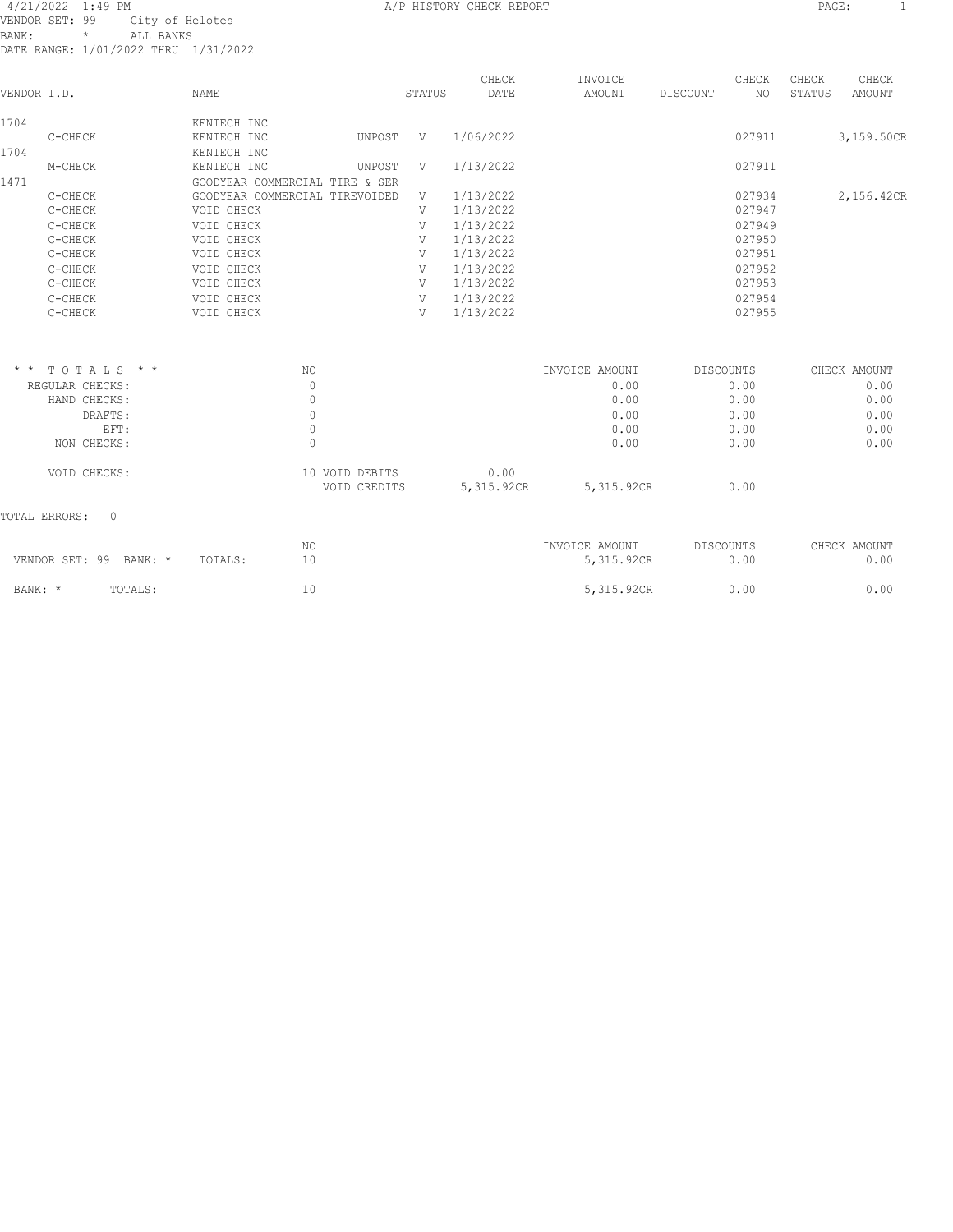#### 4/21/2022 1:49 PM A/P HISTORY CHECK REPORT PAGE: 1 VENDOR SET: 99 City of Helotes BANK: \* ALL BANKS DATE RANGE: 1/01/2022 THRU 1/31/2022

|             | DAIB RANGB. I/VI/ZVZZ INKV I/JI/ZVZZ |                                |        |        |               |                   |          |             |                 |                 |
|-------------|--------------------------------------|--------------------------------|--------|--------|---------------|-------------------|----------|-------------|-----------------|-----------------|
| VENDOR I.D. |                                      | NAME                           |        | STATUS | CHECK<br>DATE | INVOICE<br>AMOUNT | DISCOUNT | CHECK<br>NO | CHECK<br>STATUS | CHECK<br>AMOUNT |
| 1704        |                                      | KENTECH INC                    |        |        |               |                   |          |             |                 |                 |
|             | C-CHECK                              | KENTECH INC                    | UNPOST | V      | 1/06/2022     |                   |          | 027911      |                 | 3,159.50CR      |
| 1704        |                                      | KENTECH INC                    |        |        |               |                   |          |             |                 |                 |
|             | M-CHECK                              | KENTECH INC                    | UNPOST | V      | 1/13/2022     |                   |          | 027911      |                 |                 |
| 1471        |                                      | GOODYEAR COMMERCIAL TIRE & SER |        |        |               |                   |          |             |                 |                 |
|             | C-CHECK                              | GOODYEAR COMMERCIAL TIREVOIDED |        | V      | 1/13/2022     |                   |          | 027934      |                 | 2,156.42CR      |
|             | C-CHECK                              | VOID CHECK                     |        | V      | 1/13/2022     |                   |          | 027947      |                 |                 |
|             | C-CHECK                              | VOID CHECK                     |        | V      | 1/13/2022     |                   |          | 027949      |                 |                 |
|             | C-CHECK                              | VOID CHECK                     |        | V      | 1/13/2022     |                   |          | 027950      |                 |                 |
|             | C-CHECK                              | VOID CHECK                     |        | V      | 1/13/2022     |                   |          | 027951      |                 |                 |
|             | C-CHECK                              | VOID CHECK                     |        | V      | 1/13/2022     |                   |          | 027952      |                 |                 |
|             | C-CHECK                              | VOID CHECK                     |        | V      | 1/13/2022     |                   |          | 027953      |                 |                 |
|             | C-CHECK                              | VOID CHECK                     |        | V      | 1/13/2022     |                   |          | 027954      |                 |                 |
|             | C-CHECK                              | VOID CHECK                     |        | V      | 1/13/2022     |                   |          | 027955      |                 |                 |
|             |                                      |                                |        |        |               |                   |          |             |                 |                 |
|             |                                      |                                |        |        |               |                   |          |             |                 |                 |
|             |                                      |                                |        |        |               |                   |          |             |                 |                 |

| $*$ * TOTALS * * | NO                             | INVOICE AMOUNT                   | DISCOUNTS | CHECK AMOUNT |
|------------------|--------------------------------|----------------------------------|-----------|--------------|
| REGULAR CHECKS:  |                                | 0.00                             | 0.00      | 0.00         |
| HAND CHECKS:     |                                | 0.00                             | 0.00      | 0.00         |
| DRAFTS:          |                                | 0.00                             | 0.00      | 0.00         |
| EFT:             |                                | 0.00                             | 0.00      | 0.00         |
| NON CHECKS:      |                                | 0.00                             | 0.00      | 0.00         |
| VOID CHECKS:     | 10 VOID DEBITS<br>VOID CREDITS | 0.00<br>5,315.92CR<br>5,315.92CR | 0.00      |              |
|                  |                                |                                  |           |              |

# TOTAL ERRORS: 0

| VENDOR SET: 99 BANK: * |         | TOTALS: | NO | INVOICE AMOUNT<br>5,315.92CR | DISCOUNTS<br>0.00 | CHECK AMOUNT<br>0.00 |
|------------------------|---------|---------|----|------------------------------|-------------------|----------------------|
| BANK: *                | TOTALS: |         |    | 5,315.92CR                   | 0.00              | 0.00                 |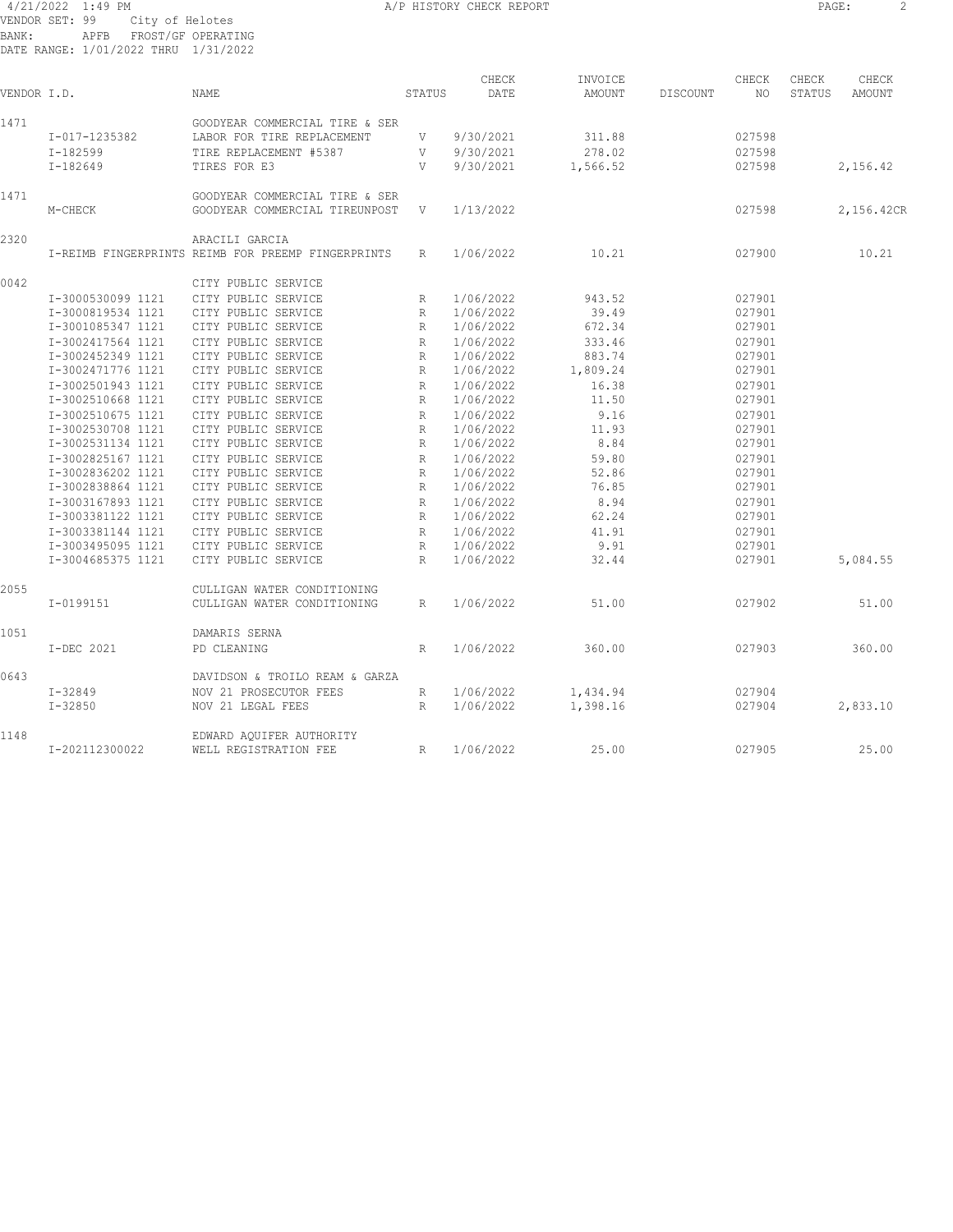4/21/2022 1:49 PM A/P HISTORY CHECK REPORT PAGE: 2 VENDOR SET: 99 City of Helotes BANK: APFB FROST/GF OPERATING DATE RANGE: 1/01/2022 THRU 1/31/2022

| PAGE: |  |  |
|-------|--|--|
|       |  |  |

| VENDOR I.D. |                   | NAME                                                                 | STATUS          | CHECK<br>DATE | INVOICE<br>AMOUNT | DISCOUNT | CHECK<br>NO | CHECK<br>STATUS | CHECK<br>AMOUNT |
|-------------|-------------------|----------------------------------------------------------------------|-----------------|---------------|-------------------|----------|-------------|-----------------|-----------------|
| 1471        |                   | GOODYEAR COMMERCIAL TIRE & SER                                       |                 |               |                   |          |             |                 |                 |
|             | I-017-1235382     | LABOR FOR TIRE REPLACEMENT                                           | V               | 9/30/2021     | 311.88            |          | 027598      |                 |                 |
|             | $I-182599$        | TIRE REPLACEMENT #5387                                               | V               | 9/30/2021     | 278.02            |          | 027598      |                 |                 |
|             | I-182649          | TIRES FOR E3                                                         | V               | 9/30/2021     | 1,566.52          |          | 027598      |                 | 2,156.42        |
| 1471        | M-CHECK           | GOODYEAR COMMERCIAL TIRE & SER<br>GOODYEAR COMMERCIAL TIREUNPOST     | V               | 1/13/2022     |                   |          | 027598      |                 | 2,156.42CR      |
| 2320        |                   | ARACILI GARCIA<br>I-REIMB FINGERPRINTS REIMB FOR PREEMP FINGERPRINTS | R               | 1/06/2022     | 10.21             |          | 027900      |                 | 10.21           |
|             |                   |                                                                      |                 |               |                   |          |             |                 |                 |
| 0042        |                   | CITY PUBLIC SERVICE                                                  |                 |               |                   |          |             |                 |                 |
|             | I-3000530099 1121 | CITY PUBLIC SERVICE                                                  | $\mathbb{R}$    | 1/06/2022     | 943.52            |          | 027901      |                 |                 |
|             | I-3000819534 1121 | CITY PUBLIC SERVICE                                                  | R               | 1/06/2022     | 39.49             |          | 027901      |                 |                 |
|             | I-3001085347 1121 | CITY PUBLIC SERVICE                                                  | $\mathbb{R}$    | 1/06/2022     | 672.34            |          | 027901      |                 |                 |
|             | I-3002417564 1121 | CITY PUBLIC SERVICE                                                  | $\mathbb{R}$    | 1/06/2022     | 333.46            |          | 027901      |                 |                 |
|             | I-3002452349 1121 | CITY PUBLIC SERVICE                                                  | $R_{\parallel}$ | 1/06/2022     | 883.74            |          | 027901      |                 |                 |
|             | I-3002471776 1121 | CITY PUBLIC SERVICE                                                  | $\mathbb{R}$    | 1/06/2022     | 1,809.24          |          | 027901      |                 |                 |
|             | I-3002501943 1121 | CITY PUBLIC SERVICE                                                  | $\mathbb{R}$    | 1/06/2022     | 16.38             |          | 027901      |                 |                 |
|             | I-3002510668 1121 | CITY PUBLIC SERVICE                                                  | $\mathbb{R}$    | 1/06/2022     | 11.50             |          | 027901      |                 |                 |
|             | I-3002510675 1121 | CITY PUBLIC SERVICE                                                  | R               | 1/06/2022     | 9.16              |          | 027901      |                 |                 |
|             | I-3002530708 1121 | CITY PUBLIC SERVICE                                                  | $\mathbb{R}$    | 1/06/2022     | 11.93             |          | 027901      |                 |                 |
|             | I-3002531134 1121 | CITY PUBLIC SERVICE                                                  | R               | 1/06/2022     | 8.84              |          | 027901      |                 |                 |
|             | I-3002825167 1121 | CITY PUBLIC SERVICE                                                  | $\mathbb{R}$    | 1/06/2022     | 59.80             |          | 027901      |                 |                 |
|             | I-3002836202 1121 | CITY PUBLIC SERVICE                                                  | R               | 1/06/2022     | 52.86             |          | 027901      |                 |                 |
|             | I-3002838864 1121 | CITY PUBLIC SERVICE                                                  | $\mathbb{R}$    | 1/06/2022     | 76.85             |          | 027901      |                 |                 |
|             | I-3003167893 1121 | CITY PUBLIC SERVICE                                                  | R               | 1/06/2022     | 8.94              |          | 027901      |                 |                 |
|             | I-3003381122 1121 | CITY PUBLIC SERVICE                                                  | $\mathbb{R}$    | 1/06/2022     | 62.24             |          | 027901      |                 |                 |
|             | I-3003381144 1121 | CITY PUBLIC SERVICE                                                  | R               | 1/06/2022     | 41.91             |          | 027901      |                 |                 |
|             | I-3003495095 1121 | CITY PUBLIC SERVICE                                                  | $\mathbb{R}$    | 1/06/2022     | 9.91              |          | 027901      |                 |                 |
|             | I-3004685375 1121 | CITY PUBLIC SERVICE                                                  | R               | 1/06/2022     | 32.44             |          | 027901      |                 | 5,084.55        |
| 2055        |                   | CULLIGAN WATER CONDITIONING                                          |                 |               |                   |          |             |                 |                 |
|             | I-0199151         | CULLIGAN WATER CONDITIONING                                          | $R_{\parallel}$ | 1/06/2022     | 51.00             |          | 027902      |                 | 51.00           |
| 1051        |                   | DAMARIS SERNA                                                        |                 |               |                   |          |             |                 |                 |
|             | I-DEC 2021        | PD CLEANING                                                          | R               | 1/06/2022     | 360.00            |          | 027903      |                 | 360.00          |
| 0643        |                   | DAVIDSON & TROILO REAM & GARZA                                       |                 |               |                   |          |             |                 |                 |
|             | $I - 32849$       | NOV 21 PROSECUTOR FEES                                               | R               | 1/06/2022     | 1,434.94          |          | 027904      |                 |                 |
|             | $I - 32850$       | NOV 21 LEGAL FEES                                                    | R               | 1/06/2022     | 1,398.16          |          | 027904      |                 | 2,833.10        |
| 1148        |                   | EDWARD AQUIFER AUTHORITY                                             |                 |               |                   |          |             |                 |                 |
|             | I-202112300022    | WELL REGISTRATION FEE                                                | R               | 1/06/2022     | 25.00             |          | 027905      |                 | 25.00           |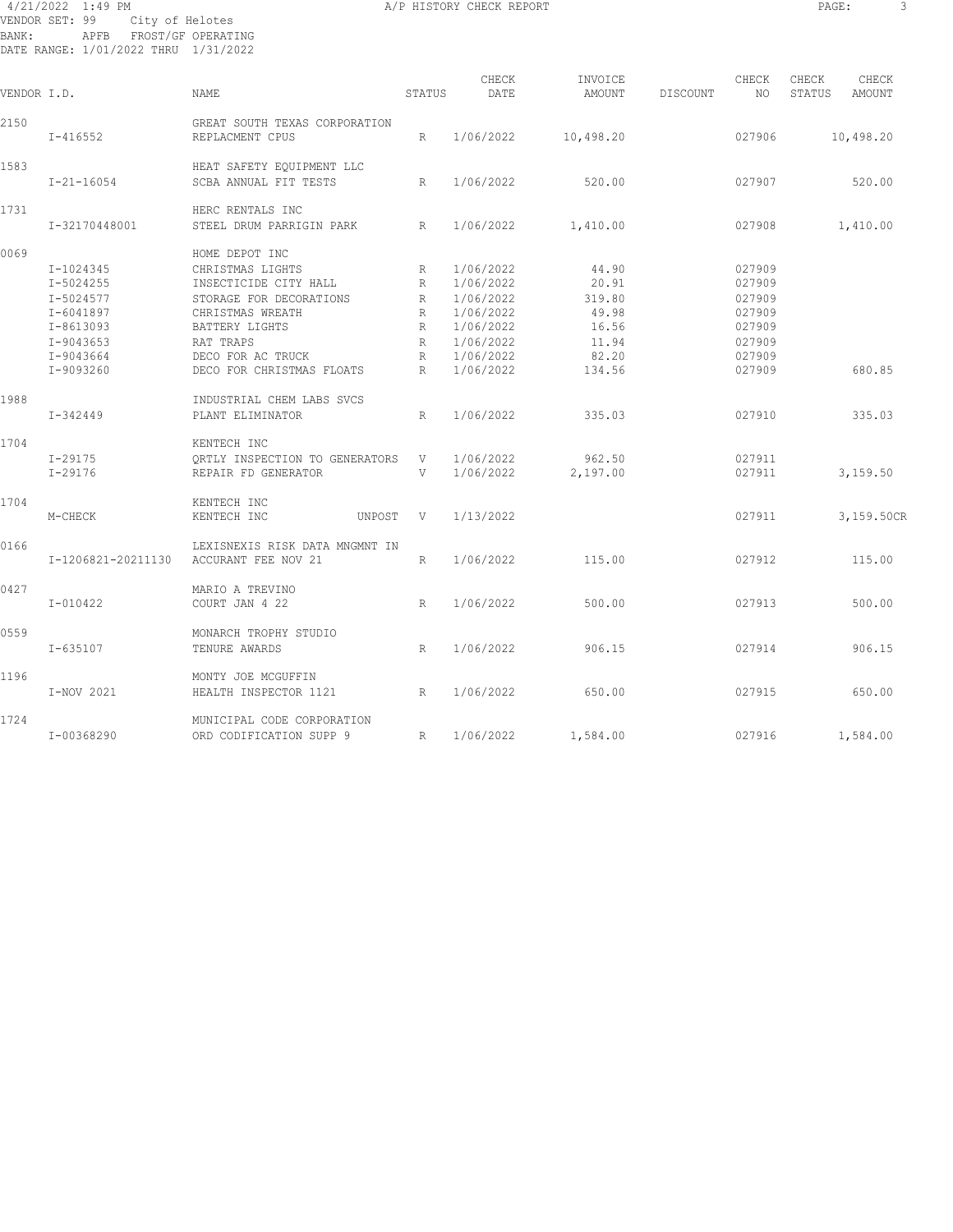#### 4/21/2022 1:49 PM A/P HISTORY CHECK REPORT PAGE: 3 VENDOR SET: 99 City of Helotes BANK: APFB FROST/GF OPERATING DATE RANGE: 1/01/2022 THRU 1/31/2022

| VENDOR I.D. |                    | NAME                                               | STATUS       | CHECK<br>DATE | INVOICE<br>AMOUNT | DISCOUNT | CHECK<br>NO | CHECK<br>STATUS | CHECK<br>AMOUNT |  |
|-------------|--------------------|----------------------------------------------------|--------------|---------------|-------------------|----------|-------------|-----------------|-----------------|--|
| 2150        | $I - 416552$       | GREAT SOUTH TEXAS CORPORATION<br>REPLACMENT CPUS   | R            | 1/06/2022     | 10,498.20         |          | 027906      |                 | 10,498.20       |  |
| 1583        | $I - 21 - 16054$   | HEAT SAFETY EOUIPMENT LLC<br>SCBA ANNUAL FIT TESTS | R            | 1/06/2022     | 520.00            |          | 027907      |                 | 520.00          |  |
| 1731        |                    | HERC RENTALS INC                                   |              |               |                   |          |             |                 |                 |  |
|             | I-32170448001      | STEEL DRUM PARRIGIN PARK                           | R            | 1/06/2022     | 1,410.00          |          | 027908      |                 | 1,410.00        |  |
| 0069        |                    | HOME DEPOT INC                                     |              |               |                   |          |             |                 |                 |  |
|             | I-1024345          | CHRISTMAS LIGHTS                                   | R            | 1/06/2022     | 44.90             |          | 027909      |                 |                 |  |
|             | I-5024255          | INSECTICIDE CITY HALL                              | R            | 1/06/2022     | 20.91             |          | 027909      |                 |                 |  |
|             | I-5024577          | STORAGE FOR DECORATIONS                            | R            | 1/06/2022     | 319.80            |          | 027909      |                 |                 |  |
|             | I-6041897          | CHRISTMAS WREATH                                   | $\mathbb{R}$ | 1/06/2022     | 49.98             |          | 027909      |                 |                 |  |
|             | $I - 8613093$      | BATTERY LIGHTS                                     | R            | 1/06/2022     | 16.56             |          | 027909      |                 |                 |  |
|             |                    |                                                    |              |               |                   |          |             |                 |                 |  |
|             | $I-9043653$        | RAT TRAPS                                          | $\mathbb{R}$ | 1/06/2022     | 11.94             |          | 027909      |                 |                 |  |
|             | I-9043664          | DECO FOR AC TRUCK                                  | R            | 1/06/2022     | 82.20             |          | 027909      |                 |                 |  |
|             | I-9093260          | DECO FOR CHRISTMAS FLOATS                          | R            | 1/06/2022     | 134.56            |          | 027909      |                 | 680.85          |  |
| 1988        |                    | INDUSTRIAL CHEM LABS SVCS                          |              |               |                   |          |             |                 |                 |  |
|             | I-342449           | PLANT ELIMINATOR                                   | R            | 1/06/2022     | 335.03            |          | 027910      |                 | 335.03          |  |
| 1704        |                    | KENTECH INC                                        |              |               |                   |          |             |                 |                 |  |
|             | $I - 29175$        | ORTLY INSPECTION TO GENERATORS                     | V            | 1/06/2022     | 962.50            |          | 027911      |                 |                 |  |
|             | $I - 29176$        | REPAIR FD GENERATOR                                | V            | 1/06/2022     | 2,197.00          |          | 027911      |                 | 3,159.50        |  |
| 1704        |                    | KENTECH INC                                        |              |               |                   |          |             |                 |                 |  |
|             | M-CHECK            | KENTECH INC<br>UNPOST                              | V            | 1/13/2022     |                   |          | 027911      |                 | 3,159.50CR      |  |
| 0166        |                    | LEXISNEXIS RISK DATA MNGMNT IN                     |              |               |                   |          |             |                 |                 |  |
|             | I-1206821-20211130 | ACCURANT FEE NOV 21                                | R            | 1/06/2022     | 115.00            |          | 027912      |                 | 115.00          |  |
| 0427        |                    | MARIO A TREVINO                                    |              |               |                   |          |             |                 |                 |  |
|             | $I - 010422$       | COURT JAN 4 22                                     | R            | 1/06/2022     | 500.00            |          | 027913      |                 | 500.00          |  |
| 0559        |                    | MONARCH TROPHY STUDIO                              |              |               |                   |          |             |                 |                 |  |
|             | I-635107           | TENURE AWARDS                                      | R            | 1/06/2022     | 906.15            |          | 027914      |                 | 906.15          |  |
| 1196        |                    | MONTY JOE MCGUFFIN                                 |              |               |                   |          |             |                 |                 |  |
|             | I-NOV 2021         | HEALTH INSPECTOR 1121                              | R            | 1/06/2022     | 650.00            |          | 027915      |                 | 650.00          |  |
| 1724        |                    | MUNICIPAL CODE CORPORATION                         |              |               |                   |          |             |                 |                 |  |
|             | I-00368290         | ORD CODIFICATION SUPP 9                            | $\mathbb{R}$ | 1/06/2022     | 1,584.00          |          | 027916      |                 | 1,584.00        |  |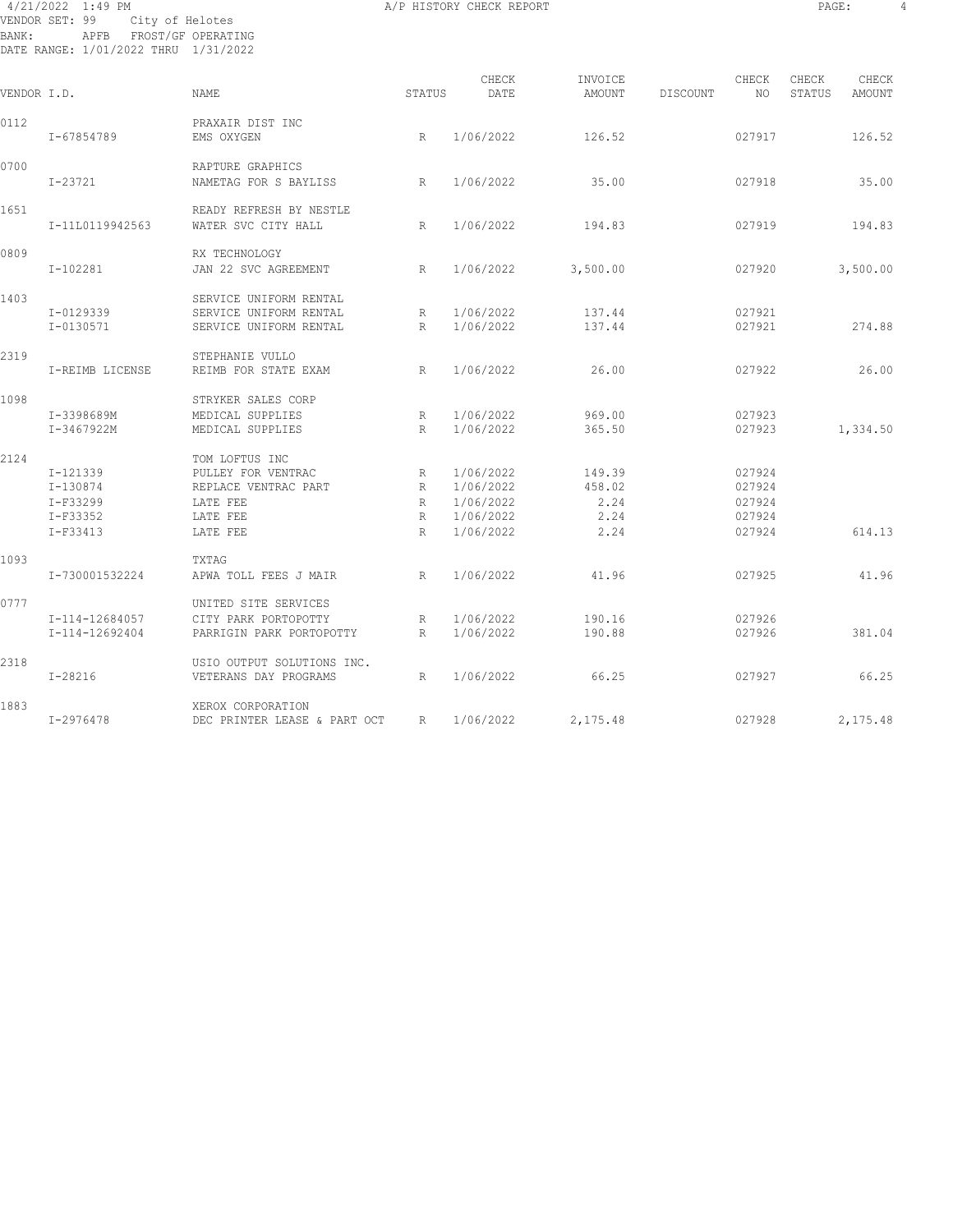#### 4/21/2022 1:49 PM A/P HISTORY CHECK REPORT PAGE: 4 VENDOR SET: 99 City of Helotes BANK: APFB FROST/GF OPERATING DATE RANGE: 1/01/2022 THRU 1/31/2022

| VENDOR I.D. |                                                                | <b>NAME</b>                                                                                      | STATUS                           | CHECK<br>DATE                                                 | INVOICE<br>AMOUNT                        | DISCOUNT | CHECK<br>NO.                                   | CHECK<br>STATUS | CHECK<br>AMOUNT |
|-------------|----------------------------------------------------------------|--------------------------------------------------------------------------------------------------|----------------------------------|---------------------------------------------------------------|------------------------------------------|----------|------------------------------------------------|-----------------|-----------------|
| 0112        | I-67854789                                                     | PRAXAIR DIST INC<br>EMS OXYGEN                                                                   | R                                | 1/06/2022                                                     | 126.52                                   |          | 027917                                         |                 | 126.52          |
| 0700        | I-23721                                                        | RAPTURE GRAPHICS<br>NAMETAG FOR S BAYLISS                                                        | R                                | 1/06/2022                                                     | 35.00                                    |          | 027918                                         |                 | 35.00           |
| 1651        | I-11L0119942563                                                | READY REFRESH BY NESTLE<br>WATER SVC CITY HALL                                                   | R                                | 1/06/2022                                                     | 194.83                                   |          | 027919                                         |                 | 194.83          |
| 0809        | $I-102281$                                                     | RX TECHNOLOGY<br>JAN 22 SVC AGREEMENT                                                            | R                                | 1/06/2022                                                     | 3,500.00                                 |          | 027920                                         |                 | 3,500.00        |
| 1403        | I-0129339                                                      | SERVICE UNIFORM RENTAL<br>SERVICE UNIFORM RENTAL                                                 | R                                | 1/06/2022                                                     | 137.44                                   |          | 027921                                         |                 |                 |
| 2319        | I-0130571                                                      | SERVICE UNIFORM RENTAL<br>STEPHANIE VULLO                                                        | R                                | 1/06/2022                                                     | 137.44                                   |          | 027921                                         |                 | 274.88          |
|             | I-REIMB LICENSE                                                | REIMB FOR STATE EXAM                                                                             | R                                | 1/06/2022                                                     | 26.00                                    |          | 027922                                         |                 | 26.00           |
| 1098        | I-3398689M<br>I-3467922M                                       | STRYKER SALES CORP<br>MEDICAL SUPPLIES<br>MEDICAL SUPPLIES                                       | R<br>R                           | 1/06/2022<br>1/06/2022                                        | 969.00<br>365.50                         |          | 027923<br>027923                               |                 | 1,334.50        |
| 2124        | I-121339<br>$I - 130874$<br>$I-F33299$<br>I-F33352<br>I-F33413 | TOM LOFTUS INC<br>PULLEY FOR VENTRAC<br>REPLACE VENTRAC PART<br>LATE FEE<br>LATE FEE<br>LATE FEE | R<br>R<br>R<br>R<br>$\mathbb{R}$ | 1/06/2022<br>1/06/2022<br>1/06/2022<br>1/06/2022<br>1/06/2022 | 149.39<br>458.02<br>2.24<br>2.24<br>2.24 |          | 027924<br>027924<br>027924<br>027924<br>027924 |                 | 614.13          |
| 1093        | I-730001532224                                                 | TXTAG<br>APWA TOLL FEES J MAIR                                                                   | R                                | 1/06/2022                                                     | 41.96                                    |          | 027925                                         |                 | 41.96           |
| 0777        | I-114-12684057<br>I-114-12692404                               | UNITED SITE SERVICES<br>CITY PARK PORTOPOTTY<br>PARRIGIN PARK PORTOPOTTY                         | R<br>R                           | 1/06/2022<br>1/06/2022                                        | 190.16<br>190.88                         |          | 027926<br>027926                               |                 | 381.04          |
| 2318        | $I - 28216$                                                    | USIO OUTPUT SOLUTIONS INC.<br>VETERANS DAY PROGRAMS                                              | R                                | 1/06/2022                                                     | 66.25                                    |          | 027927                                         |                 | 66.25           |
| 1883        | I-2976478                                                      | XEROX CORPORATION<br>DEC PRINTER LEASE & PART OCT                                                | R                                | 1/06/2022                                                     | 2,175.48                                 |          | 027928                                         |                 | 2,175.48        |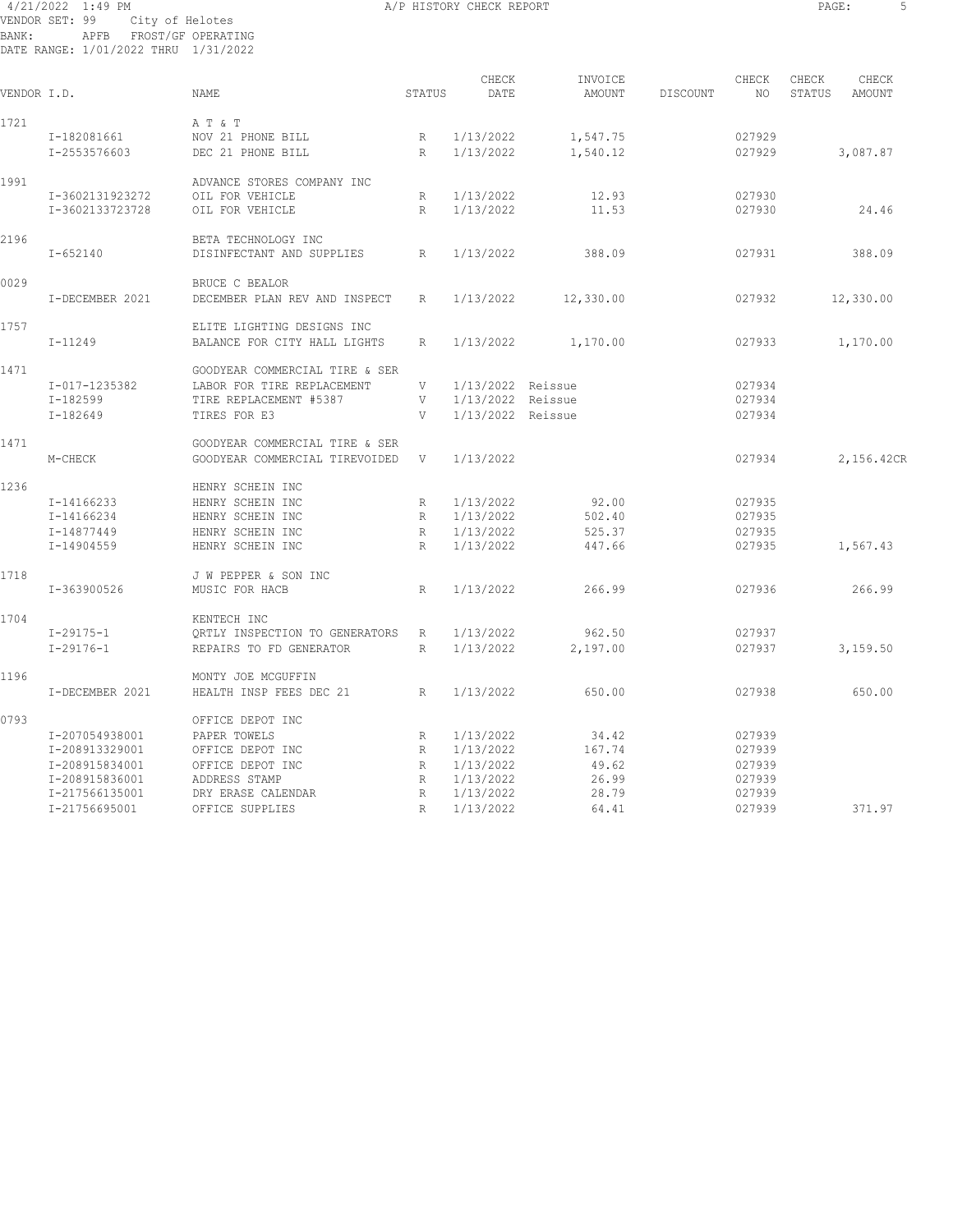#### 4/21/2022 1:49 PM A/P HISTORY CHECK REPORT PAGE: 5 VENDOR SET: 99 City of Helotes BANK: APFB FROST/GF OPERATING DATE RANGE: 1/01/2022 THRU 1/31/2022

| ٠<br>- -<br>$\sim$ |  |
|--------------------|--|
|                    |  |

| VENDOR I.D. |                 | <b>NAME</b>                    | STATUS       | CHECK<br>DATE     | INVOICE<br>AMOUNT | DISCOUNT | CHECK<br>NO | CHECK<br>STATUS | CHECK<br>AMOUNT |  |
|-------------|-----------------|--------------------------------|--------------|-------------------|-------------------|----------|-------------|-----------------|-----------------|--|
| 1721        |                 | A T & T                        |              |                   |                   |          |             |                 |                 |  |
|             | I-182081661     | NOV 21 PHONE BILL              | R            | 1/13/2022         | 1,547.75          |          | 027929      |                 |                 |  |
|             | I-2553576603    | DEC 21 PHONE BILL              | R            | 1/13/2022         | 1,540.12          |          | 027929      |                 | 3,087.87        |  |
| 1991        |                 | ADVANCE STORES COMPANY INC     |              |                   |                   |          |             |                 |                 |  |
|             | I-3602131923272 | OIL FOR VEHICLE                | R            | 1/13/2022         | 12.93             |          | 027930      |                 |                 |  |
|             | I-3602133723728 | OIL FOR VEHICLE                | R            | 1/13/2022         | 11.53             |          | 027930      |                 | 24.46           |  |
| 2196        |                 | BETA TECHNOLOGY INC            |              |                   |                   |          |             |                 |                 |  |
|             | $I - 652140$    | DISINFECTANT AND SUPPLIES      | R            | 1/13/2022         | 388.09            |          | 027931      |                 | 388.09          |  |
| 0029        |                 | <b>BRUCE C BEALOR</b>          |              |                   |                   |          |             |                 |                 |  |
|             | I-DECEMBER 2021 | DECEMBER PLAN REV AND INSPECT  | $\mathbb{R}$ | 1/13/2022         | 12,330.00         |          | 027932      |                 | 12,330.00       |  |
| 1757        |                 | ELITE LIGHTING DESIGNS INC     |              |                   |                   |          |             |                 |                 |  |
|             | I-11249         | BALANCE FOR CITY HALL LIGHTS   | R            | 1/13/2022         | 1,170.00          |          | 027933      |                 | 1,170.00        |  |
| 1471        |                 | GOODYEAR COMMERCIAL TIRE & SER |              |                   |                   |          |             |                 |                 |  |
|             | I-017-1235382   | LABOR FOR TIRE REPLACEMENT     | V            | 1/13/2022 Reissue |                   |          | 027934      |                 |                 |  |
|             | I-182599        | TIRE REPLACEMENT #5387         | V            | 1/13/2022 Reissue |                   |          | 027934      |                 |                 |  |
|             | $I - 182649$    | TIRES FOR E3                   | V            | 1/13/2022 Reissue |                   |          | 027934      |                 |                 |  |
| 1471        |                 | GOODYEAR COMMERCIAL TIRE & SER |              |                   |                   |          |             |                 |                 |  |
|             | M-CHECK         | GOODYEAR COMMERCIAL TIREVOIDED | V            | 1/13/2022         |                   |          | 027934      |                 | 2,156.42CR      |  |
| 1236        |                 | HENRY SCHEIN INC               |              |                   |                   |          |             |                 |                 |  |
|             | I-14166233      | HENRY SCHEIN INC               | R            | 1/13/2022         | 92.00             |          | 027935      |                 |                 |  |
|             | I-14166234      | HENRY SCHEIN INC               | R            | 1/13/2022         | 502.40            |          | 027935      |                 |                 |  |
|             | I-14877449      | HENRY SCHEIN INC               | R            | 1/13/2022         | 525.37            |          | 027935      |                 |                 |  |
|             | I-14904559      | HENRY SCHEIN INC               | R            | 1/13/2022         | 447.66            |          | 027935      |                 | 1,567.43        |  |
| 1718        |                 | J W PEPPER & SON INC           |              |                   |                   |          |             |                 |                 |  |
|             | I-363900526     | MUSIC FOR HACB                 | R            | 1/13/2022         | 266.99            |          | 027936      |                 | 266.99          |  |
| 1704        |                 | KENTECH INC                    |              |                   |                   |          |             |                 |                 |  |
|             | $I - 29175 - 1$ | ORTLY INSPECTION TO GENERATORS | R            | 1/13/2022         | 962.50            |          | 027937      |                 |                 |  |
|             | $I - 29176 - 1$ | REPAIRS TO FD GENERATOR        | R            | 1/13/2022         | 2,197.00          |          | 027937      |                 | 3,159.50        |  |
| 1196        |                 | MONTY JOE MCGUFFIN             |              |                   |                   |          |             |                 |                 |  |
|             | I-DECEMBER 2021 | HEALTH INSP FEES DEC 21        | R            | 1/13/2022         | 650.00            |          | 027938      |                 | 650.00          |  |
| 0793        |                 | OFFICE DEPOT INC               |              |                   |                   |          |             |                 |                 |  |
|             | I-207054938001  | PAPER TOWELS                   | R            | 1/13/2022         | 34.42             |          | 027939      |                 |                 |  |
|             | I-208913329001  | OFFICE DEPOT INC               | $\mathbb{R}$ | 1/13/2022         | 167.74            |          | 027939      |                 |                 |  |
|             | I-208915834001  | OFFICE DEPOT INC               | $\mathbb{R}$ | 1/13/2022         | 49.62             |          | 027939      |                 |                 |  |
|             | I-208915836001  | ADDRESS STAMP                  | R            | 1/13/2022         | 26.99             |          | 027939      |                 |                 |  |
|             | I-217566135001  | DRY ERASE CALENDAR             | R            | 1/13/2022         | 28.79             |          | 027939      |                 |                 |  |
|             | I-21756695001   | OFFICE SUPPLIES                | $\mathbb{R}$ | 1/13/2022         | 64.41             |          | 027939      |                 | 371.97          |  |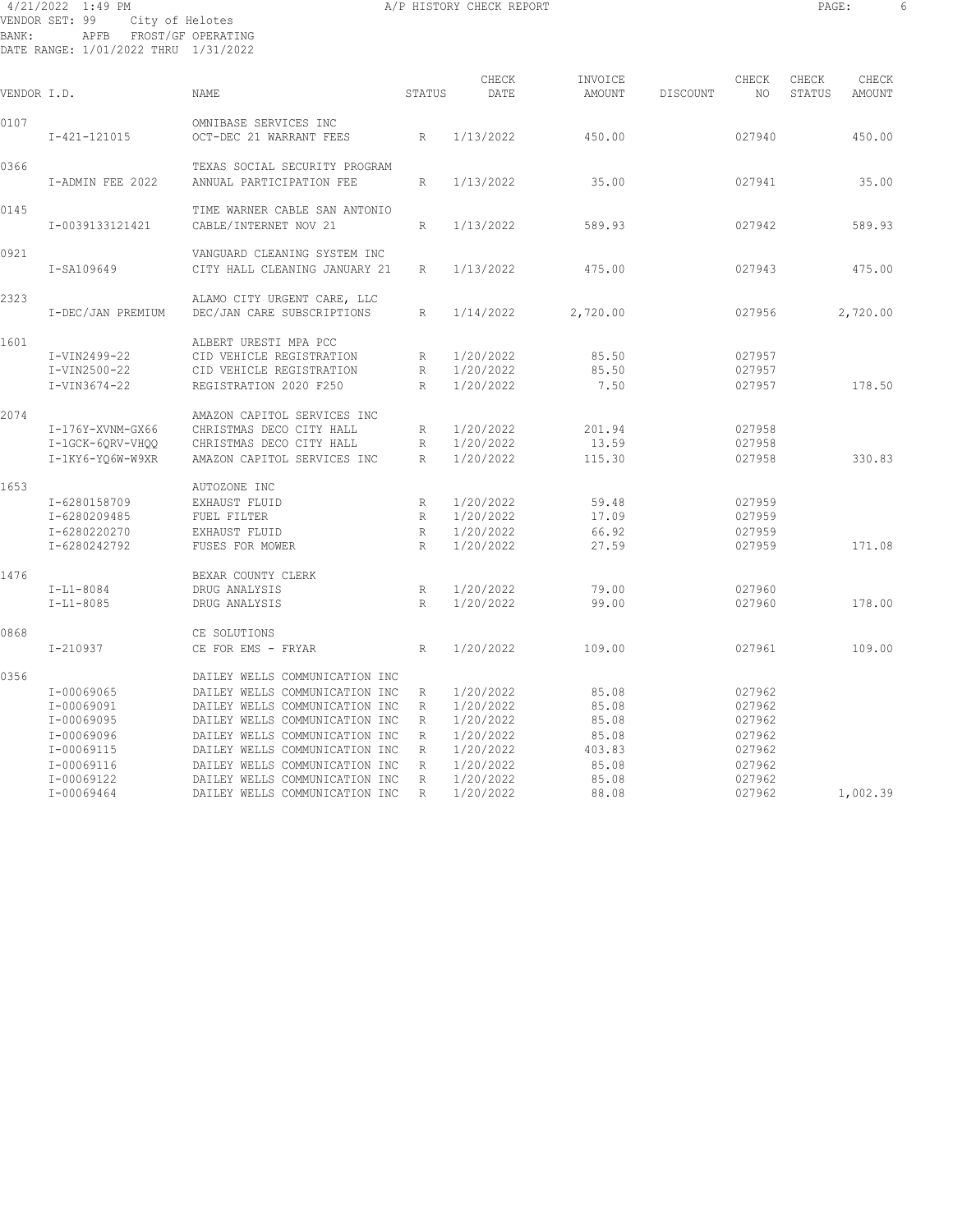#### 4/21/2022 1:49 PM A/P HISTORY CHECK REPORT PAGE: 6 VENDOR SET: 99 City of Helotes BANK: APFB FROST/GF OPERATING DATE RANGE: 1/01/2022 THRU 1/31/2022

| VENDOR I.D. |                                                                                                | NAME                                                                                                                                                                                                                                                                         | STATUS                                                | CHECK<br>DATE                                                                           | INVOICE<br>AMOUNT                                            | DISCOUNT | CHECK<br>NO.                                                       | CHECK<br>STATUS | CHECK<br>AMOUNT |
|-------------|------------------------------------------------------------------------------------------------|------------------------------------------------------------------------------------------------------------------------------------------------------------------------------------------------------------------------------------------------------------------------------|-------------------------------------------------------|-----------------------------------------------------------------------------------------|--------------------------------------------------------------|----------|--------------------------------------------------------------------|-----------------|-----------------|
| 0107        | $I-421-121015$                                                                                 | OMNIBASE SERVICES INC<br>OCT-DEC 21 WARRANT FEES                                                                                                                                                                                                                             | R                                                     | 1/13/2022                                                                               | 450.00                                                       |          | 027940                                                             |                 | 450.00          |
| 0366        | I-ADMIN FEE 2022                                                                               | TEXAS SOCIAL SECURITY PROGRAM<br>ANNUAL PARTICIPATION FEE                                                                                                                                                                                                                    | R                                                     | 1/13/2022                                                                               | 35.00                                                        |          | 027941                                                             |                 | 35.00           |
| 0145        | I-0039133121421                                                                                | TIME WARNER CABLE SAN ANTONIO<br>CABLE/INTERNET NOV 21                                                                                                                                                                                                                       | R                                                     | 1/13/2022                                                                               | 589.93                                                       |          | 027942                                                             |                 | 589.93          |
| 0921        | I-SA109649                                                                                     | VANGUARD CLEANING SYSTEM INC<br>CITY HALL CLEANING JANUARY 21                                                                                                                                                                                                                | R                                                     | 1/13/2022                                                                               | 475.00                                                       |          | 027943                                                             |                 | 475.00          |
| 2323        | I-DEC/JAN PREMIUM                                                                              | ALAMO CITY URGENT CARE, LLC<br>DEC/JAN CARE SUBSCRIPTIONS                                                                                                                                                                                                                    | $\mathbb{R}$                                          | 1/14/2022                                                                               | 2,720.00                                                     |          | 027956                                                             |                 | 2,720.00        |
| 1601        | I-VIN2499-22<br>I-VIN2500-22<br>I-VIN3674-22                                                   | ALBERT URESTI MPA PCC<br>CID VEHICLE REGISTRATION<br>CID VEHICLE REGISTRATION<br>REGISTRATION 2020 F250                                                                                                                                                                      | R<br>R<br>R                                           | 1/20/2022<br>1/20/2022<br>1/20/2022                                                     | 85.50<br>85.50<br>7.50                                       |          | 027957<br>027957<br>027957                                         |                 | 178.50          |
| 2074        | I-176Y-XVNM-GX66<br>I-1GCK-6QRV-VHQQ<br>I-1KY6-YO6W-W9XR                                       | AMAZON CAPITOL SERVICES INC<br>CHRISTMAS DECO CITY HALL<br>CHRISTMAS DECO CITY HALL<br>AMAZON CAPITOL SERVICES INC                                                                                                                                                           | R<br>R<br>R                                           | 1/20/2022<br>1/20/2022<br>1/20/2022                                                     | 201.94<br>13.59<br>115.30                                    |          | 027958<br>027958<br>027958                                         |                 | 330.83          |
| 1653        | I-6280158709<br>I-6280209485<br>I-6280220270<br>I-6280242792                                   | AUTOZONE INC<br>EXHAUST FLUID<br>FUEL FILTER<br>EXHAUST FLUID<br>FUSES FOR MOWER                                                                                                                                                                                             | R<br>R<br>$\mathbb{R}$<br>$\mathbb{R}$                | 1/20/2022<br>1/20/2022<br>1/20/2022<br>1/20/2022                                        | 59.48<br>17.09<br>66.92<br>27.59                             |          | 027959<br>027959<br>027959<br>027959                               |                 | 171.08          |
| 1476        | $I-L1-8084$<br>$I-L1-8085$                                                                     | BEXAR COUNTY CLERK<br>DRUG ANALYSIS<br>DRUG ANALYSIS                                                                                                                                                                                                                         | R<br>$\mathbb{R}$                                     | 1/20/2022<br>1/20/2022                                                                  | 79.00<br>99.00                                               |          | 027960<br>027960                                                   |                 | 178.00          |
| 0868        | $I - 210937$                                                                                   | CE SOLUTIONS<br>CE FOR EMS - FRYAR                                                                                                                                                                                                                                           | $\mathbb{R}$                                          | 1/20/2022                                                                               | 109.00                                                       |          | 027961                                                             |                 | 109.00          |
| 0356        | I-00069065<br>I-00069091<br>I-00069095<br>I-00069096<br>I-00069115<br>I-00069116<br>I-00069122 | DAILEY WELLS COMMUNICATION INC<br>DAILEY WELLS COMMUNICATION INC<br>DAILEY WELLS COMMUNICATION INC<br>DAILEY WELLS COMMUNICATION INC<br>DAILEY WELLS COMMUNICATION INC<br>DAILEY WELLS COMMUNICATION INC<br>DAILEY WELLS COMMUNICATION INC<br>DAILEY WELLS COMMUNICATION INC | R<br>$\mathbb{R}$<br>R<br>R<br>R<br>R<br>$\mathbb{R}$ | 1/20/2022<br>1/20/2022<br>1/20/2022<br>1/20/2022<br>1/20/2022<br>1/20/2022<br>1/20/2022 | 85.08<br>85.08<br>85.08<br>85.08<br>403.83<br>85.08<br>85.08 |          | 027962<br>027962<br>027962<br>027962<br>027962<br>027962<br>027962 |                 |                 |
|             | I-00069464                                                                                     | DAILEY WELLS COMMUNICATION INC                                                                                                                                                                                                                                               | $\mathbb{R}$                                          | 1/20/2022                                                                               | 88.08                                                        |          | 027962                                                             |                 | 1,002.39        |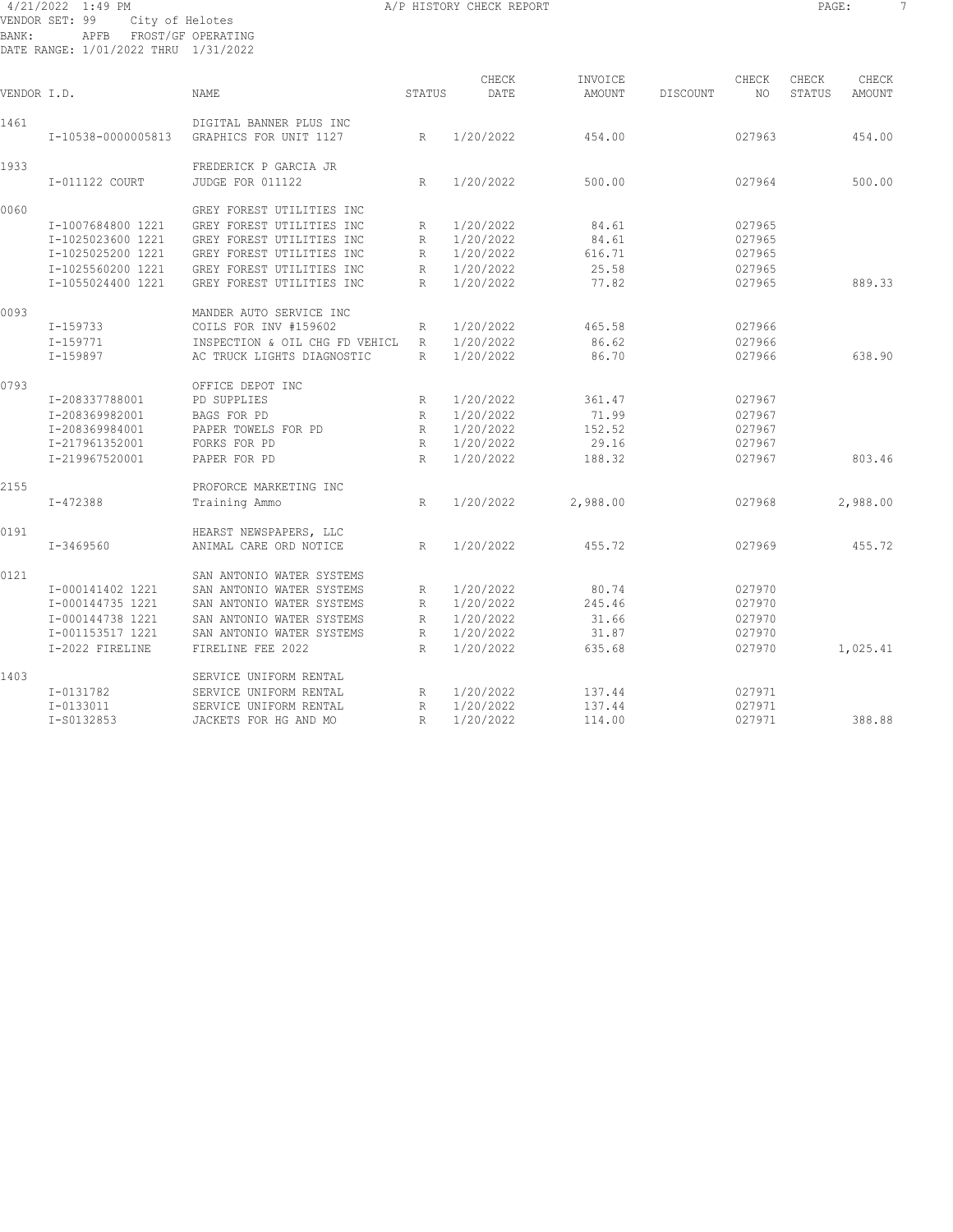#### 4/21/2022 1:49 PM **A/P HISTORY CHECK REPORT PAGE:** 7 VENDOR SET: 99 City of Helotes BANK: APFB FROST/GF OPERATING DATE RANGE: 1/01/2022 THRU 1/31/2022

| VENDOR I.D. |                    | <b>NAME</b>                                       | <b>STATUS</b> | CHECK<br>DATE | INVOICE<br><b>AMOUNT</b> | DISCOUNT | CHECK<br>NO | CHECK<br>STATUS | CHECK<br><b>AMOUNT</b> |
|-------------|--------------------|---------------------------------------------------|---------------|---------------|--------------------------|----------|-------------|-----------------|------------------------|
| 1461        | I-10538-0000005813 | DIGITAL BANNER PLUS INC<br>GRAPHICS FOR UNIT 1127 | R             | 1/20/2022     | 454.00                   |          | 027963      |                 | 454.00                 |
| 1933        | I-011122 COURT     | FREDERICK P GARCIA JR<br>JUDGE FOR 011122         | R             | 1/20/2022     | 500.00                   |          | 027964      |                 | 500.00                 |
| 0060        |                    | GREY FOREST UTILITIES INC                         |               |               |                          |          |             |                 |                        |
|             | I-1007684800 1221  | GREY FOREST UTILITIES INC                         | R             | 1/20/2022     | 84.61                    |          | 027965      |                 |                        |
|             | I-1025023600 1221  | GREY FOREST UTILITIES INC                         | R             | 1/20/2022     | 84.61                    |          | 027965      |                 |                        |
|             | I-1025025200 1221  | GREY FOREST UTILITIES INC                         | $\mathbb R$   | 1/20/2022     | 616.71                   |          | 027965      |                 |                        |
|             | I-1025560200 1221  | GREY FOREST UTILITIES INC                         | R             | 1/20/2022     | 25.58                    |          | 027965      |                 |                        |
|             | I-1055024400 1221  | GREY FOREST UTILITIES INC                         | $\mathbb{R}$  | 1/20/2022     | 77.82                    |          | 027965      |                 | 889.33                 |
| 0093        |                    | MANDER AUTO SERVICE INC                           |               |               |                          |          |             |                 |                        |
|             | I-159733           | COILS FOR INV #159602                             | R             | 1/20/2022     | 465.58                   |          | 027966      |                 |                        |
|             | $I - 159771$       | INSPECTION & OIL CHG FD VEHICL                    | R             | 1/20/2022     | 86.62                    |          | 027966      |                 |                        |
|             | I-159897           | AC TRUCK LIGHTS DIAGNOSTIC                        | $\mathbb{R}$  | 1/20/2022     | 86.70                    |          | 027966      |                 | 638.90                 |
| 0793        |                    | OFFICE DEPOT INC                                  |               |               |                          |          |             |                 |                        |
|             | I-208337788001     | PD SUPPLIES                                       | R             | 1/20/2022     | 361.47                   |          | 027967      |                 |                        |
|             | I-208369982001     | BAGS FOR PD                                       | $\mathbb{R}$  | 1/20/2022     | 71.99                    |          | 027967      |                 |                        |
|             | I-208369984001     | PAPER TOWELS FOR PD                               | R             | 1/20/2022     | 152.52                   |          | 027967      |                 |                        |
|             | I-217961352001     | FORKS FOR PD                                      | R             | 1/20/2022     | 29.16                    |          | 027967      |                 |                        |
|             | I-219967520001     | PAPER FOR PD                                      | R             | 1/20/2022     | 188.32                   |          | 027967      |                 | 803.46                 |
| 2155        |                    | PROFORCE MARKETING INC                            |               |               |                          |          |             |                 |                        |
|             | I-472388           | Training Ammo                                     | R             | 1/20/2022     | 2,988.00                 |          | 027968      |                 | 2,988.00               |
| 0191        |                    | HEARST NEWSPAPERS, LLC                            |               |               |                          |          |             |                 |                        |
|             | I-3469560          | ANIMAL CARE ORD NOTICE                            | R             | 1/20/2022     | 455.72                   |          | 027969      |                 | 455.72                 |
| 0121        |                    | SAN ANTONIO WATER SYSTEMS                         |               |               |                          |          |             |                 |                        |
|             | I-000141402 1221   | SAN ANTONIO WATER SYSTEMS                         | R             | 1/20/2022     | 80.74                    |          | 027970      |                 |                        |
|             | I-000144735 1221   | SAN ANTONIO WATER SYSTEMS                         | R             | 1/20/2022     | 245.46                   |          | 027970      |                 |                        |
|             | I-000144738 1221   | SAN ANTONIO WATER SYSTEMS                         | $\mathbb R$   | 1/20/2022     | 31.66                    |          | 027970      |                 |                        |
|             | I-001153517 1221   | SAN ANTONIO WATER SYSTEMS                         | $\mathbb R$   | 1/20/2022     | 31.87                    |          | 027970      |                 |                        |
|             | I-2022 FIRELINE    | FIRELINE FEE 2022                                 | R             | 1/20/2022     | 635.68                   |          | 027970      |                 | 1,025.41               |
| 1403        |                    | SERVICE UNIFORM RENTAL                            |               |               |                          |          |             |                 |                        |
|             | $I - 0131782$      | SERVICE UNIFORM RENTAL                            | R             | 1/20/2022     | 137.44                   |          | 027971      |                 |                        |
|             | I-0133011          | SERVICE UNIFORM RENTAL                            | R             | 1/20/2022     | 137.44                   |          | 027971      |                 |                        |
|             | I-S0132853         | JACKETS FOR HG AND MO                             | R             | 1/20/2022     | 114.00                   |          | 027971      |                 | 388.88                 |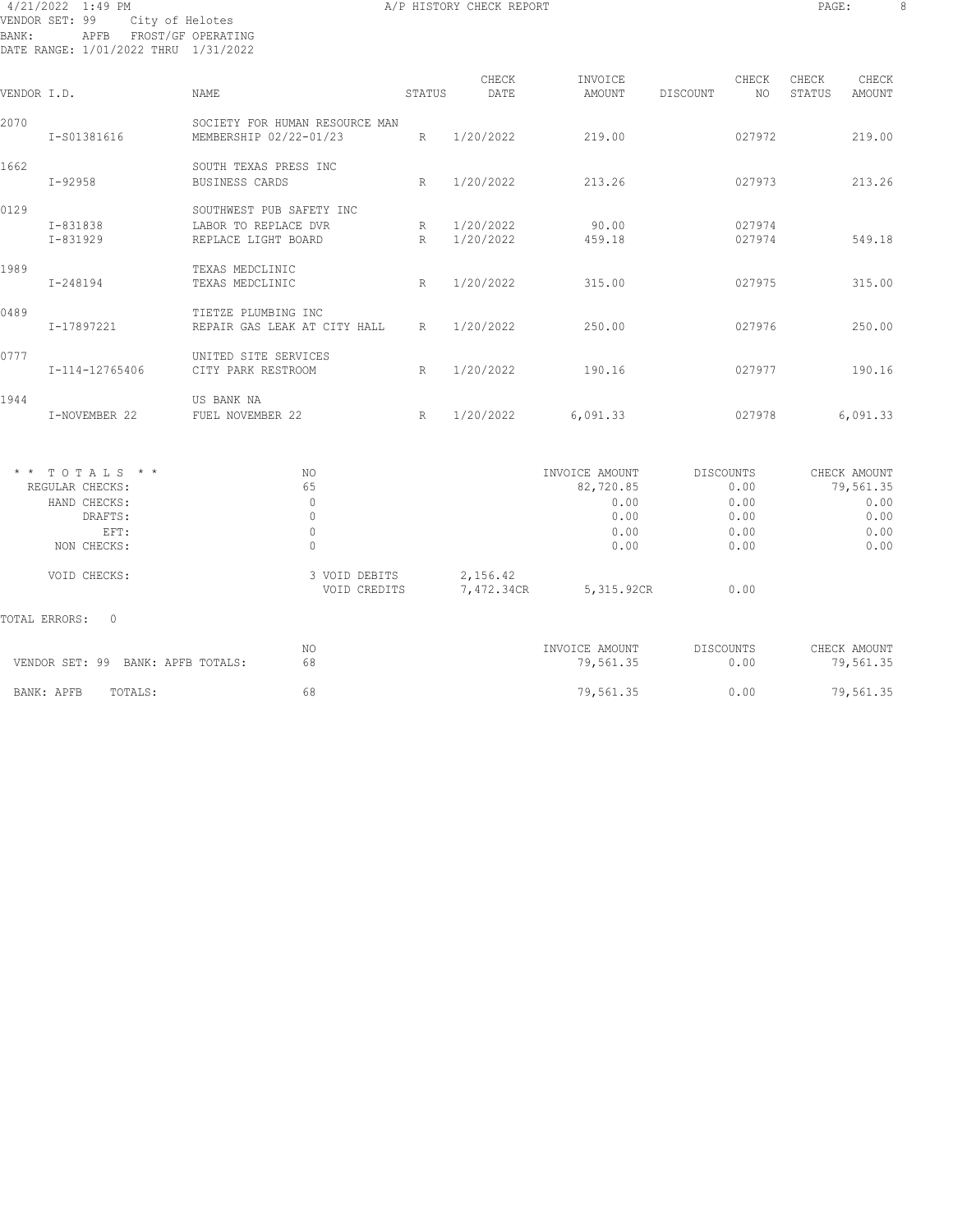#### 4/21/2022 1:49 PM A/P HISTORY CHECK REPORT PAGE: 8 VENDOR SET: 99 City of Helotes BANK: APFB FROST/GF OPERATING DATE RANGE: 1/01/2022 THRU 1/31/2022

| VENDOR I.D.   |                                                                                       | NAME                                                                    | STATUS | CHECK<br>DATE          | INVOICE<br>AMOUNT                                           | CHECK<br>DISCOUNT<br>NO                           | CHECK<br>CHECK<br>STATUS<br>AMOUNT                        |
|---------------|---------------------------------------------------------------------------------------|-------------------------------------------------------------------------|--------|------------------------|-------------------------------------------------------------|---------------------------------------------------|-----------------------------------------------------------|
| 2070          | I-S01381616                                                                           | SOCIETY FOR HUMAN RESOURCE MAN<br>MEMBERSHIP 02/22-01/23                | R      | 1/20/2022              | 219.00                                                      | 027972                                            | 219.00                                                    |
| 1662          | $I - 92958$                                                                           | SOUTH TEXAS PRESS INC<br>BUSINESS CARDS                                 | R      | 1/20/2022              | 213.26                                                      | 027973                                            | 213.26                                                    |
| 0129          | I-831838<br>I-831929                                                                  | SOUTHWEST PUB SAFETY INC<br>LABOR TO REPLACE DVR<br>REPLACE LIGHT BOARD | R<br>R | 1/20/2022<br>1/20/2022 | 90.00<br>459.18                                             | 027974<br>027974                                  | 549.18                                                    |
| 1989          | I-248194                                                                              | TEXAS MEDCLINIC<br>TEXAS MEDCLINIC                                      | R      | 1/20/2022              | 315.00                                                      | 027975                                            | 315.00                                                    |
| 0489          | I-17897221                                                                            | TIETZE PLUMBING INC<br>REPAIR GAS LEAK AT CITY HALL                     | R      | 1/20/2022              | 250.00                                                      | 027976                                            | 250.00                                                    |
| 0777          | I-114-12765406                                                                        | UNITED SITE SERVICES<br>CITY PARK RESTROOM                              | R      | 1/20/2022              | 190.16                                                      | 027977                                            | 190.16                                                    |
| 1944          | I-NOVEMBER 22                                                                         | US BANK NA<br>FUEL NOVEMBER 22                                          | R      | 1/20/2022              | 6,091.33                                                    | 027978                                            | 6,091.33                                                  |
|               | $*$ * TOTALS * *<br>REGULAR CHECKS:<br>HAND CHECKS:<br>DRAFTS:<br>EFT:<br>NON CHECKS: | NO.<br>65<br>$\mathbf{0}$<br>$\mathbf{0}$<br>$\mathbf 0$<br>$\Omega$    |        |                        | INVOICE AMOUNT<br>82,720.85<br>0.00<br>0.00<br>0.00<br>0.00 | DISCOUNTS<br>0.00<br>0.00<br>0.00<br>0.00<br>0.00 | CHECK AMOUNT<br>79,561.35<br>0.00<br>0.00<br>0.00<br>0.00 |
|               | VOID CHECKS:                                                                          | 3 VOID DEBITS<br>VOID CREDITS                                           |        | 2,156.42<br>7,472.34CR | 5,315.92CR                                                  | 0.00                                              |                                                           |
| TOTAL ERRORS: | 0                                                                                     |                                                                         |        |                        |                                                             |                                                   |                                                           |
|               | VENDOR SET: 99 BANK: APFB TOTALS:                                                     | NO.<br>68                                                               |        |                        | INVOICE AMOUNT<br>79,561.35                                 | DISCOUNTS<br>0.00                                 | CHECK AMOUNT<br>79,561.35                                 |
|               | BANK: APFB<br>TOTALS:                                                                 | 68                                                                      |        |                        | 79,561.35                                                   | 0.00                                              | 79,561.35                                                 |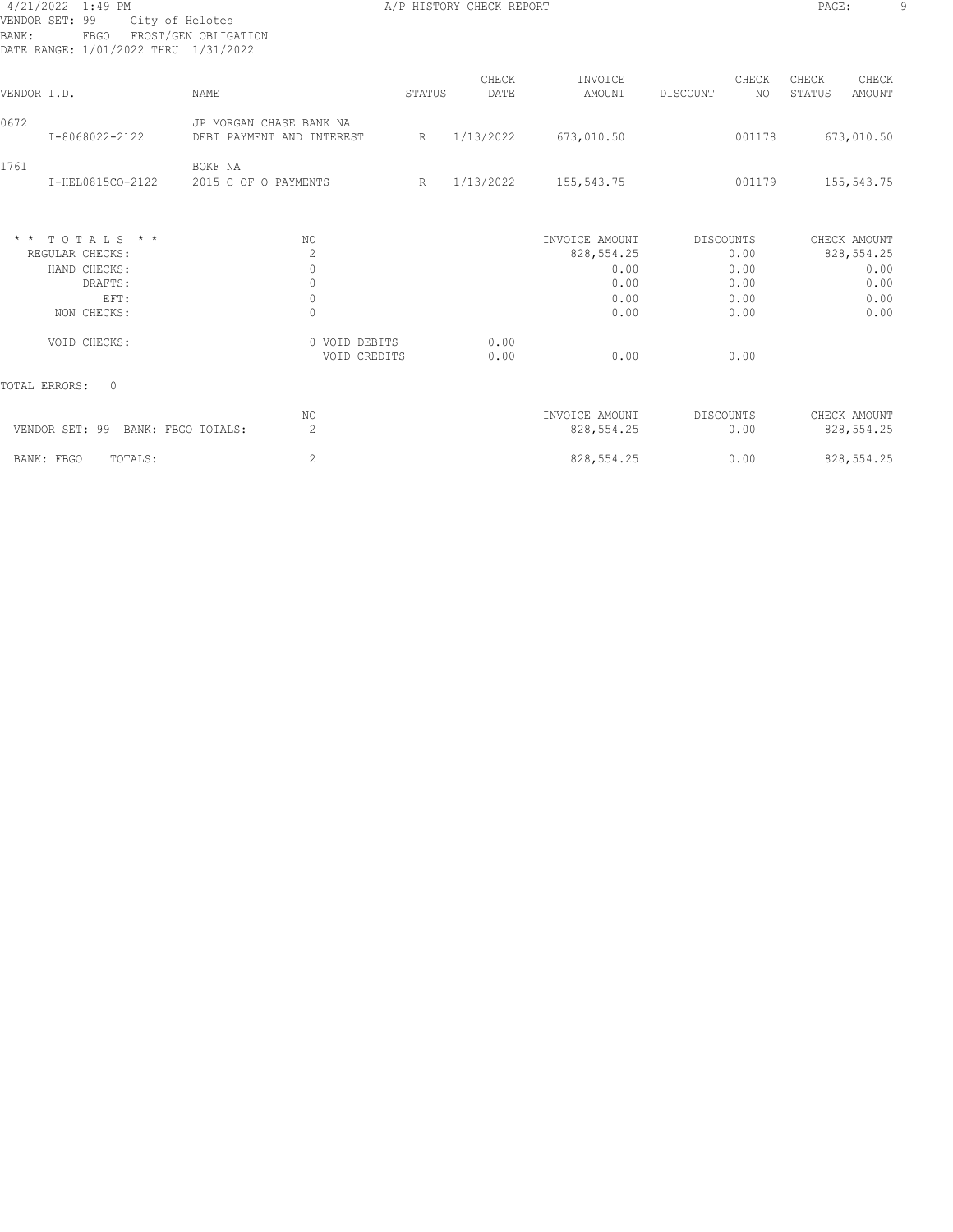| 4/21/2022 1:49 PM                    |                           |        | A/P HISTORY CHECK REPORT |                |                  | PAGE:            | 9 |
|--------------------------------------|---------------------------|--------|--------------------------|----------------|------------------|------------------|---|
| VENDOR SET: 99<br>City of Helotes    |                           |        |                          |                |                  |                  |   |
| FBGO<br>BANK:                        | FROST/GEN OBLIGATION      |        |                          |                |                  |                  |   |
| DATE RANGE: 1/01/2022 THRU 1/31/2022 |                           |        |                          |                |                  |                  |   |
|                                      |                           |        | CHECK                    | INVOICE        | CHECK            | CHECK<br>CHECK   |   |
| VENDOR I.D.                          | <b>NAME</b>               | STATUS | DATE                     | AMOUNT         | DISCOUNT<br>NO.  | STATUS<br>AMOUNT |   |
| 0672                                 | JP MORGAN CHASE BANK NA   |        |                          |                |                  |                  |   |
| I-8068022-2122                       | DEBT PAYMENT AND INTEREST | R      | 1/13/2022                | 673,010.50     | 001178           | 673,010.50       |   |
| 1761                                 | BOKF NA                   |        |                          |                |                  |                  |   |
| I-HEL0815CO-2122                     | 2015 C OF O PAYMENTS      | R      | 1/13/2022                | 155,543.75     | 001179           | 155, 543. 75     |   |
|                                      |                           |        |                          |                |                  |                  |   |
| * * TOTALS * *                       | NO.                       |        |                          | INVOICE AMOUNT | <b>DISCOUNTS</b> | CHECK AMOUNT     |   |
| REGULAR CHECKS:                      | 2                         |        |                          | 828, 554.25    | 0.00             | 828, 554.25      |   |
| HAND CHECKS:                         | $\mathbf{0}$              |        |                          | 0.00           | 0.00             | 0.00             |   |
| DRAFTS:                              | $\mathbf{0}$              |        |                          | 0.00           | 0.00             | 0.00             |   |
| EFT:                                 | $\circ$                   |        |                          | 0.00           | 0.00             | 0.00             |   |
| NON CHECKS:                          | $\mathbf{0}$              |        |                          | 0.00           | 0.00             | 0.00             |   |
| VOID CHECKS:                         | 0 VOID DEBITS             |        | 0.00                     |                |                  |                  |   |
|                                      | VOID CREDITS              |        | 0.00                     | 0.00           | 0.00             |                  |   |
| TOTAL ERRORS:<br>$\Omega$            |                           |        |                          |                |                  |                  |   |
|                                      | NO.                       |        |                          | INVOICE AMOUNT | DISCOUNTS        | CHECK AMOUNT     |   |
| VENDOR SET: 99 BANK: FBGO TOTALS:    | 2                         |        |                          | 828, 554.25    | 0.00             | 828, 554.25      |   |
| TOTALS:<br>BANK: FBGO                | $\mathbf{2}$              |        |                          | 828, 554.25    | 0.00             | 828, 554.25      |   |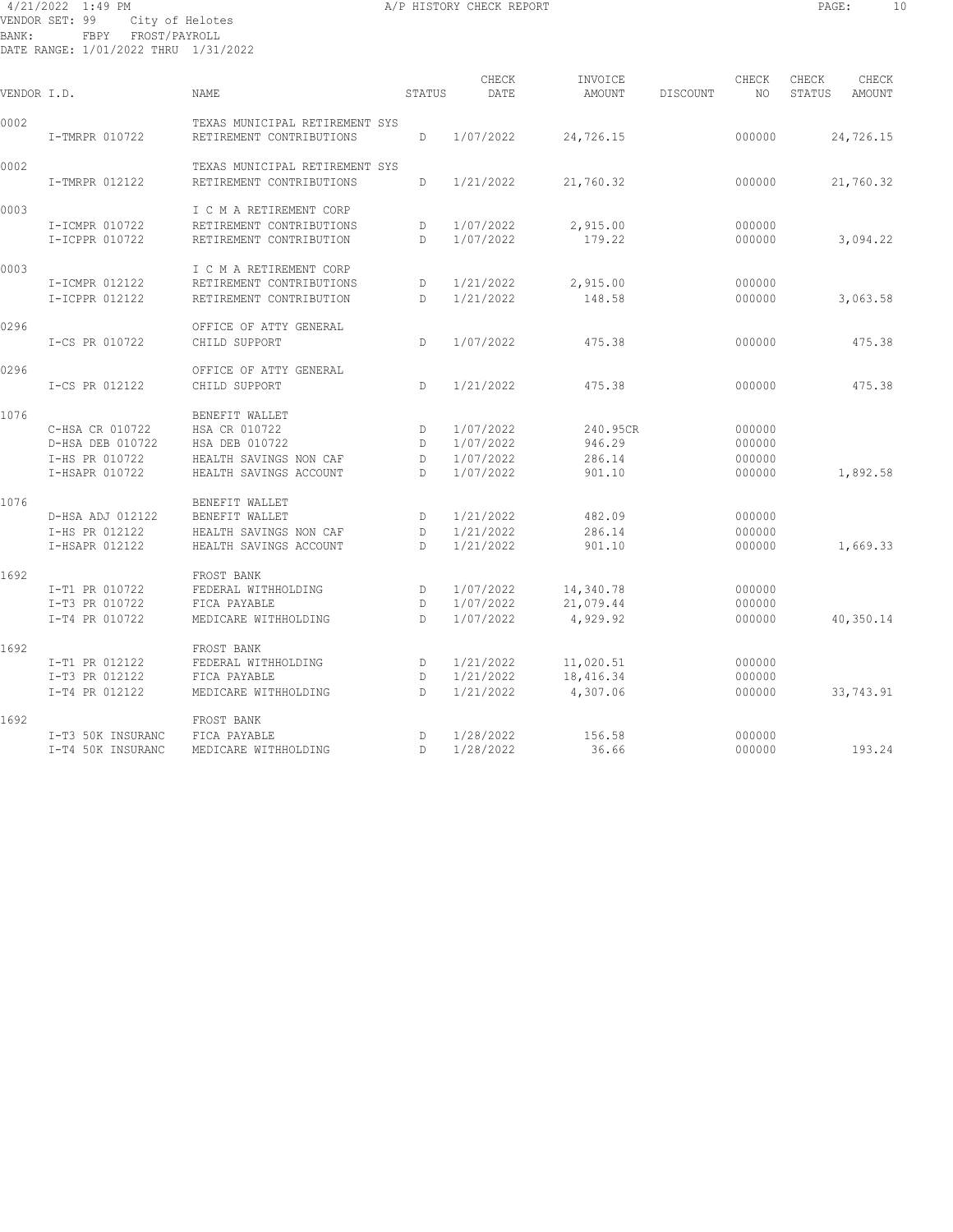#### 4/21/2022 1:49 PM A/P HISTORY CHECK REPORT PAGE: 10 VENDOR SET: 99 City of Helotes BANK: FBPY FROST/PAYROLL DATE RANGE: 1/01/2022 THRU 1/31/2022

| VENDOR I.D. |                                                                         | <b>NAME</b>                                                                                           | STATUS            | CHECK<br>DATE                                    | INVOICE<br><b>AMOUNT</b>               | DISCOUNT | CHECK<br>NO.                         | CHECK<br>STATUS | CHECK<br>AMOUNT |
|-------------|-------------------------------------------------------------------------|-------------------------------------------------------------------------------------------------------|-------------------|--------------------------------------------------|----------------------------------------|----------|--------------------------------------|-----------------|-----------------|
| 0002        | I-TMRPR 010722                                                          | TEXAS MUNICIPAL RETIREMENT SYS<br>RETIREMENT CONTRIBUTIONS                                            | D                 | 1/07/2022                                        | 24,726.15                              |          | 000000                               |                 | 24,726.15       |
| 0002        | I-TMRPR 012122                                                          | TEXAS MUNICIPAL RETIREMENT SYS<br>RETIREMENT CONTRIBUTIONS                                            | D.                | 1/21/2022                                        | 21,760.32                              |          | 000000                               |                 | 21,760.32       |
| 0003        | I-ICMPR 010722<br>I-ICPPR 010722                                        | I C M A RETIREMENT CORP<br>RETIREMENT CONTRIBUTIONS<br>RETIREMENT CONTRIBUTION                        | D<br>D            | 1/07/2022<br>1/07/2022                           | 2,915.00<br>179.22                     |          | 000000<br>000000                     |                 | 3,094.22        |
| 0003        | I-ICMPR 012122<br>I-ICPPR 012122                                        | I C M A RETIREMENT CORP<br>RETIREMENT CONTRIBUTIONS<br>RETIREMENT CONTRIBUTION                        | D<br>D            | 1/21/2022<br>1/21/2022                           | 2,915.00<br>148.58                     |          | 000000<br>000000                     |                 | 3,063.58        |
| 0296        | I-CS PR 010722                                                          | OFFICE OF ATTY GENERAL<br>CHILD SUPPORT                                                               | D                 | 1/07/2022                                        | 475.38                                 |          | 000000                               |                 | 475.38          |
| 0296        | I-CS PR 012122                                                          | OFFICE OF ATTY GENERAL<br>CHILD SUPPORT                                                               | D                 | 1/21/2022                                        | 475.38                                 |          | 000000                               |                 | 475.38          |
| 1076        | C-HSA CR 010722<br>D-HSA DEB 010722<br>I-HS PR 010722<br>I-HSAPR 010722 | BENEFIT WALLET<br>HSA CR 010722<br>HSA DEB 010722<br>HEALTH SAVINGS NON CAF<br>HEALTH SAVINGS ACCOUNT | D<br>D<br>D<br>D. | 1/07/2022<br>1/07/2022<br>1/07/2022<br>1/07/2022 | 240.95CR<br>946.29<br>286.14<br>901.10 |          | 000000<br>000000<br>000000<br>000000 |                 | 1,892.58        |
| 1076        | D-HSA ADJ 012122<br>I-HS PR 012122<br>I-HSAPR 012122                    | BENEFIT WALLET<br>BENEFIT WALLET<br>HEALTH SAVINGS NON CAF<br>HEALTH SAVINGS ACCOUNT                  | D<br>D<br>D.      | 1/21/2022<br>1/21/2022<br>1/21/2022              | 482.09<br>286.14<br>901.10             |          | 000000<br>000000<br>000000           |                 | 1,669.33        |
| 1692        | I-T1 PR 010722<br>I-T3 PR 010722<br>I-T4 PR 010722                      | FROST BANK<br>FEDERAL WITHHOLDING<br>FICA PAYABLE<br>MEDICARE WITHHOLDING                             | D<br>D<br>D       | 1/07/2022<br>1/07/2022<br>1/07/2022              | 14,340.78<br>21,079.44<br>4,929.92     |          | 000000<br>000000<br>000000           |                 | 40,350.14       |
| 1692        | I-T1 PR 012122<br>I-T3 PR 012122<br>I-T4 PR 012122                      | FROST BANK<br>FEDERAL WITHHOLDING<br>FICA PAYABLE<br>MEDICARE WITHHOLDING                             | D<br>D<br>D.      | 1/21/2022<br>1/21/2022<br>1/21/2022              | 11,020.51<br>18,416.34<br>4,307.06     |          | 000000<br>000000<br>000000           |                 | 33,743.91       |
| 1692        | I-T3 50K INSURANC<br>I-T4 50K INSURANC                                  | FROST BANK<br>FICA PAYABLE<br>MEDICARE WITHHOLDING                                                    | D<br>D.           | 1/28/2022<br>1/28/2022                           | 156.58<br>36.66                        |          | 000000<br>000000                     |                 | 193.24          |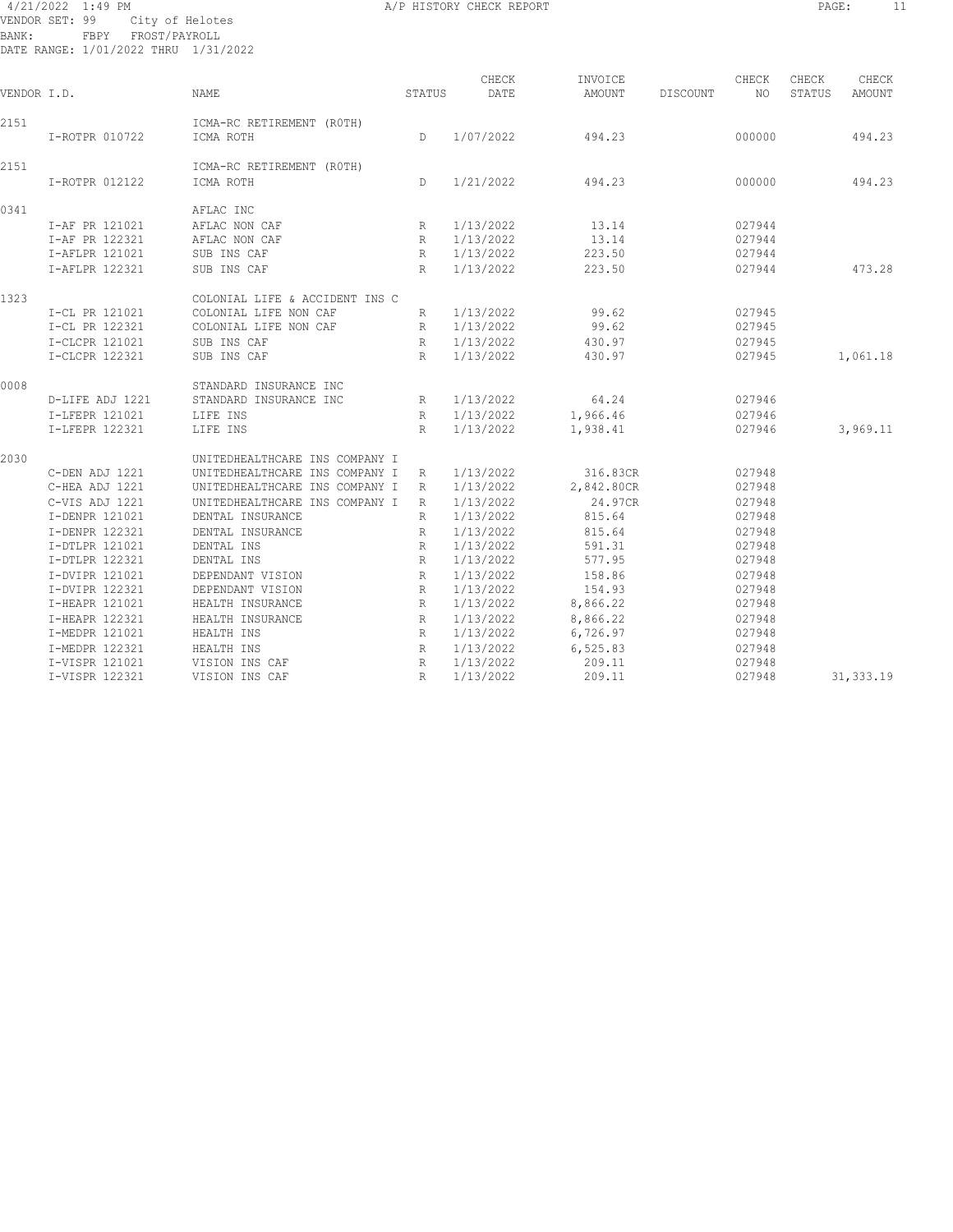#### 4/21/2022 1:49 PM A/P HISTORY CHECK REPORT PAGE: 11 VENDOR SET: 99 City of Helotes BANK: FBPY FROST/PAYROLL DATE RANGE: 1/01/2022 THRU 1/31/2022

| VENDOR I.D. |                 | <b>NAME</b>                            | STATUS          | CHECK<br>DATE | INVOICE<br>AMOUNT | DISCOUNT | CHECK<br>NO. | CHECK<br>STATUS | CHECK<br>AMOUNT |
|-------------|-----------------|----------------------------------------|-----------------|---------------|-------------------|----------|--------------|-----------------|-----------------|
| 2151        | I-ROTPR 010722  | ICMA-RC RETIREMENT (ROTH)<br>ICMA ROTH | $\mathsf{D}$    | 1/07/2022     | 494.23            |          | 000000       |                 | 494.23          |
|             |                 |                                        |                 |               |                   |          |              |                 |                 |
| 2151        |                 | ICMA-RC RETIREMENT (ROTH)              |                 |               |                   |          |              |                 |                 |
|             | I-ROTPR 012122  | ICMA ROTH                              | D.              | 1/21/2022     | 494.23            |          | 000000       |                 | 494.23          |
| 0341        |                 | AFLAC INC                              |                 |               |                   |          |              |                 |                 |
|             | I-AF PR 121021  | AFLAC NON CAF                          | R               | 1/13/2022     | 13.14             |          | 027944       |                 |                 |
|             | I-AF PR 122321  | AFLAC NON CAF                          | R               | 1/13/2022     | 13.14             |          | 027944       |                 |                 |
|             | I-AFLPR 121021  | SUB INS CAF                            | R               | 1/13/2022     | 223.50            |          | 027944       |                 |                 |
|             | I-AFLPR 122321  | SUB INS CAF                            | R               | 1/13/2022     | 223.50            |          | 027944       |                 | 473.28          |
| 1323        |                 | COLONIAL LIFE & ACCIDENT INS C         |                 |               |                   |          |              |                 |                 |
|             | I-CL PR 121021  | COLONIAL LIFE NON CAF                  | R               | 1/13/2022     | 99.62             |          | 027945       |                 |                 |
|             | I-CL PR 122321  | COLONIAL LIFE NON CAF                  | R               | 1/13/2022     | 99.62             |          | 027945       |                 |                 |
|             | I-CLCPR 121021  | SUB INS CAF                            | $R_{\parallel}$ | 1/13/2022     | 430.97            |          | 027945       |                 |                 |
|             | I-CLCPR 122321  | SUB INS CAF                            | R               | 1/13/2022     | 430.97            |          | 027945       |                 | 1,061.18        |
| 0008        |                 | STANDARD INSURANCE INC                 |                 |               |                   |          |              |                 |                 |
|             | D-LIFE ADJ 1221 | STANDARD INSURANCE INC                 | R               | 1/13/2022     | 64.24             |          | 027946       |                 |                 |
|             | I-LFEPR 121021  | LIFE INS                               | R               | 1/13/2022     | 1,966.46          |          | 027946       |                 |                 |
|             | I-LFEPR 122321  | LIFE INS                               | R               | 1/13/2022     | 1,938.41          |          | 027946       |                 | 3,969.11        |
|             |                 |                                        |                 |               |                   |          |              |                 |                 |
| 2030        |                 | UNITEDHEALTHCARE INS COMPANY I         |                 |               |                   |          |              |                 |                 |
|             | C-DEN ADJ 1221  | UNITEDHEALTHCARE INS COMPANY I         | R               | 1/13/2022     | 316.83CR          |          | 027948       |                 |                 |
|             | C-HEA ADJ 1221  | UNITEDHEALTHCARE INS COMPANY I         | R               | 1/13/2022     | 2,842.80CR        |          | 027948       |                 |                 |
|             | C-VIS ADJ 1221  | UNITEDHEALTHCARE INS COMPANY I         | R               | 1/13/2022     | 24.97CR           |          | 027948       |                 |                 |
|             | I-DENPR 121021  | DENTAL INSURANCE                       | R               | 1/13/2022     | 815.64            |          | 027948       |                 |                 |
|             | I-DENPR 122321  | DENTAL INSURANCE                       | R               | 1/13/2022     | 815.64            |          | 027948       |                 |                 |
|             | I-DTLPR 121021  | DENTAL INS                             | R               | 1/13/2022     | 591.31            |          | 027948       |                 |                 |
|             | I-DTLPR 122321  | DENTAL INS                             | $\mathbb{R}$    | 1/13/2022     | 577.95            |          | 027948       |                 |                 |
|             | I-DVIPR 121021  | DEPENDANT VISION                       | $\mathbb{R}$    | 1/13/2022     | 158.86            |          | 027948       |                 |                 |
|             | I-DVIPR 122321  | DEPENDANT VISION                       | R               | 1/13/2022     | 154.93            |          | 027948       |                 |                 |
|             | I-HEAPR 121021  | HEALTH INSURANCE                       | R               | 1/13/2022     | 8,866.22          |          | 027948       |                 |                 |
|             | I-HEAPR 122321  | HEALTH INSURANCE                       | R               | 1/13/2022     | 8,866.22          |          | 027948       |                 |                 |
|             | I-MEDPR 121021  | HEALTH INS                             | R               | 1/13/2022     | 6,726.97          |          | 027948       |                 |                 |
|             | I-MEDPR 122321  | HEALTH INS                             | R               | 1/13/2022     | 6,525.83          |          | 027948       |                 |                 |
|             | I-VISPR 121021  | VISION INS CAF                         | R               | 1/13/2022     | 209.11            |          | 027948       |                 |                 |
|             | I-VISPR 122321  | VISION INS CAF                         | R               | 1/13/2022     | 209.11            |          | 027948       |                 | 31, 333.19      |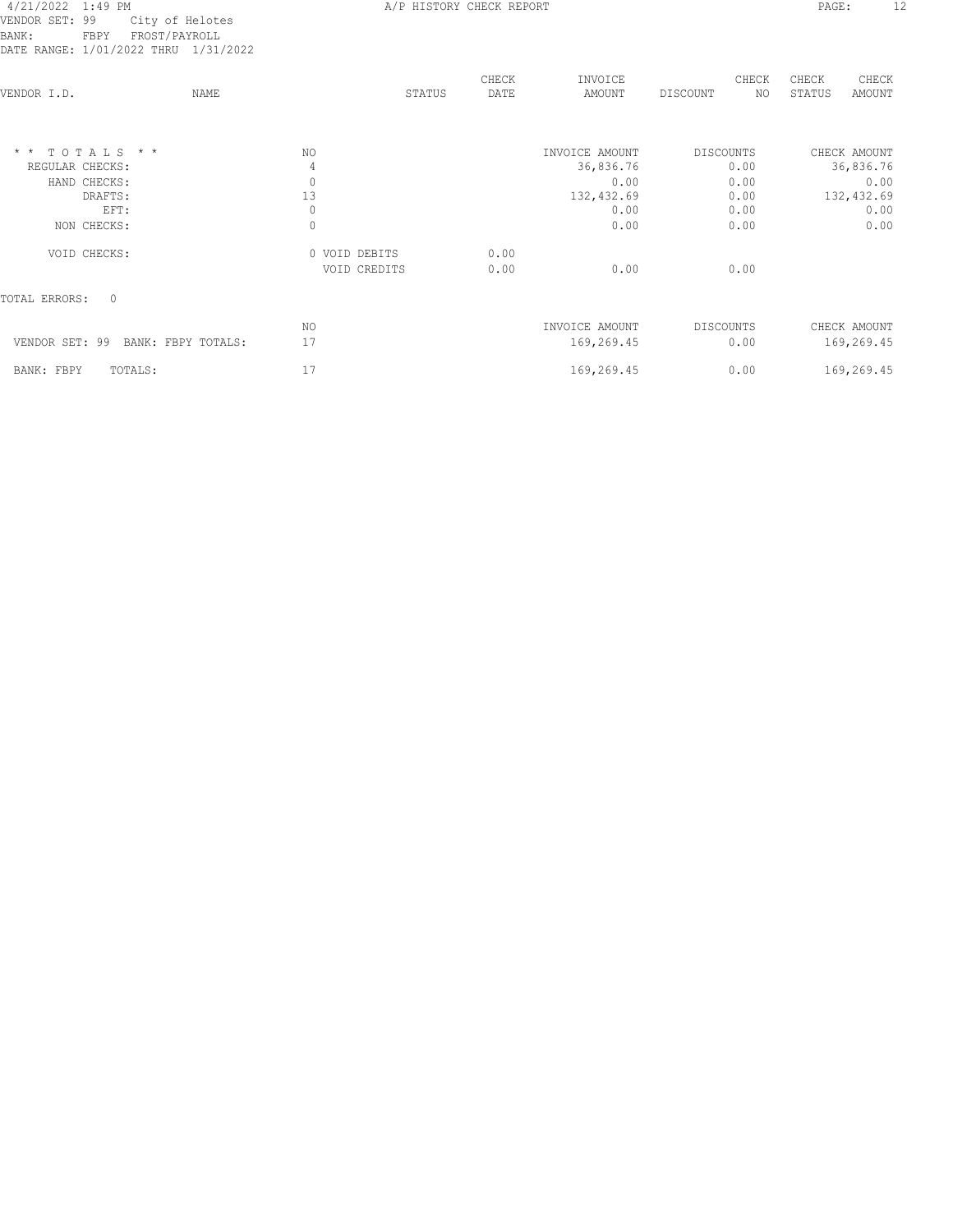| 71111 1411011. 1/01/2022 11110       | $+ / - + / - - - - - - -$ |        |               |                   |                  |              |                 |                 |
|--------------------------------------|---------------------------|--------|---------------|-------------------|------------------|--------------|-----------------|-----------------|
| NAME<br>VENDOR I.D.                  |                           | STATUS | CHECK<br>DATE | INVOICE<br>AMOUNT | DISCOUNT         | CHECK<br>NO. | CHECK<br>STATUS | CHECK<br>AMOUNT |
| $\star$ $\star$<br>TOTALS * *        | NO                        |        |               | INVOICE AMOUNT    | <b>DISCOUNTS</b> |              |                 | CHECK AMOUNT    |
| REGULAR CHECKS:                      | 4                         |        |               | 36,836.76         |                  | 0.00         |                 | 36,836.76       |
| HAND CHECKS:                         | $\mathbb O$               |        |               | 0.00              |                  | 0.00         |                 | 0.00            |
| DRAFTS:                              | 13                        |        |               | 132,432.69        |                  | 0.00         |                 | 132,432.69      |
| EFT:                                 | 0                         |        |               | 0.00              |                  | 0.00         |                 | 0.00            |
| NON CHECKS:                          | $\mathbf{0}$              |        |               | 0.00              |                  | 0.00         |                 | 0.00            |
| VOID CHECKS:                         | 0 VOID DEBITS             |        | 0.00          |                   |                  |              |                 |                 |
|                                      | VOID CREDITS              |        | 0.00          | 0.00              |                  | 0.00         |                 |                 |
| $\Omega$<br>TOTAL ERRORS:            |                           |        |               |                   |                  |              |                 |                 |
|                                      | NO.                       |        |               | INVOICE AMOUNT    | <b>DISCOUNTS</b> |              |                 | CHECK AMOUNT    |
| VENDOR SET: 99<br>BANK: FBPY TOTALS: | 17                        |        |               | 169,269.45        |                  | 0.00         |                 | 169,269.45      |
| TOTALS:<br>BANK: FBPY                | 17                        |        |               | 169,269.45        |                  | 0.00         |                 | 169,269.45      |
|                                      |                           |        |               |                   |                  |              |                 |                 |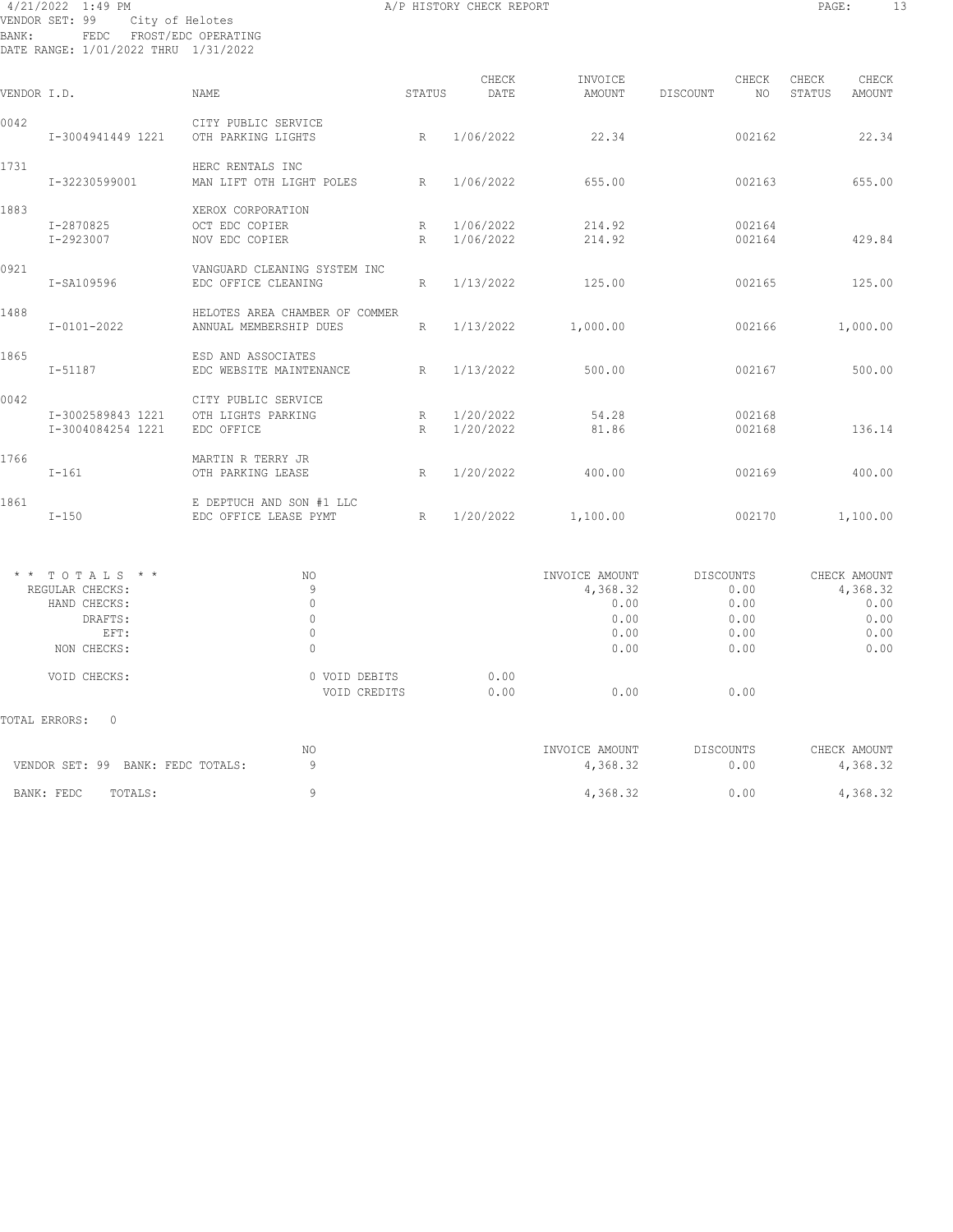#### 4/21/2022 1:49 PM A/P HISTORY CHECK REPORT PAGE: 13 VENDOR SET: 99 City of Helotes BANK: FEDC FROST/EDC OPERATING DATE RANGE: 1/01/2022 THRU 1/31/2022

| VENDOR I.D. |                                        | NAME                                                     | STATUS | CHECK<br>DATE          | INVOICE<br>AMOUNT | DISCOUNT | CHECK<br>NO.     | CHECK<br>STATUS | CHECK<br>AMOUNT |
|-------------|----------------------------------------|----------------------------------------------------------|--------|------------------------|-------------------|----------|------------------|-----------------|-----------------|
| 0042        | I-3004941449 1221                      | CITY PUBLIC SERVICE<br>OTH PARKING LIGHTS                | R      | 1/06/2022              | 22.34             |          | 002162           |                 | 22.34           |
| 1731        | I-32230599001                          | HERC RENTALS INC<br>MAN LIFT OTH LIGHT POLES             | R      | 1/06/2022              | 655.00            |          | 002163           |                 | 655.00          |
| 1883        | I-2870825<br>I-2923007                 | XEROX CORPORATION<br>OCT EDC COPIER<br>NOV EDC COPIER    | R<br>R | 1/06/2022<br>1/06/2022 | 214.92<br>214.92  |          | 002164<br>002164 |                 | 429.84          |
| 0921        | I-SA109596                             | VANGUARD CLEANING SYSTEM INC<br>EDC OFFICE CLEANING      | R      | 1/13/2022              | 125.00            |          | 002165           |                 | 125.00          |
| 1488        | $I - 0101 - 2022$                      | HELOTES AREA CHAMBER OF COMMER<br>ANNUAL MEMBERSHIP DUES | R      | 1/13/2022              | 1,000.00          |          | 002166           |                 | 1,000.00        |
| 1865        | $I - 51187$                            | ESD AND ASSOCIATES<br>EDC WEBSITE MAINTENANCE            | R      | 1/13/2022              | 500.00            |          | 002167           |                 | 500.00          |
| 0042        | I-3002589843 1221<br>I-3004084254 1221 | CITY PUBLIC SERVICE<br>OTH LIGHTS PARKING<br>EDC OFFICE  | R<br>R | 1/20/2022<br>1/20/2022 | 54.28<br>81.86    |          | 002168<br>002168 |                 | 136.14          |
| 1766        | $I - 161$                              | MARTIN R TERRY JR<br>OTH PARKING LEASE                   | R      | 1/20/2022              | 400.00            |          | 002169           |                 | 400.00          |
| 1861        | $I-150$                                | E DEPTUCH AND SON #1 LLC<br>EDC OFFICE LEASE PYMT        | R      | 1/20/2022              | 1,100.00          |          | 002170           |                 | 1,100.00        |

| TOTALS * *<br>$\star$ $\star$ | NO.           | INVOICE AMOUNT | DISCOUNTS | CHECK AMOUNT |
|-------------------------------|---------------|----------------|-----------|--------------|
| REGULAR CHECKS:               | q             | 4,368.32       | 0.00      | 4,368.32     |
| HAND CHECKS:                  | 0             | 0.00           | 0.00      | 0.00         |
| DRAFTS:                       |               | 0.00           | 0.00      | 0.00         |
| EFT:                          | 0             | 0.00           | 0.00      | 0.00         |
| NON CHECKS:                   |               | 0.00           | 0.00      | 0.00         |
| VOID CHECKS:                  | 0 VOID DEBITS | 0.00           |           |              |
|                               | VOID CREDITS  | 0.00<br>0.00   | 0.00      |              |
| TOTAL ERRORS:<br>0            |               |                |           |              |

| VENDOR SET: 99 BANK: FEDC TOTALS: | NΟ | INVOICE AMOUNT<br>4,368.32 | DISCOUNTS<br>0.00 | CHECK AMOUNT<br>4,368.32 |
|-----------------------------------|----|----------------------------|-------------------|--------------------------|
| BANK: FEDC<br>TOTALS:             |    | 4,368.32                   | 0.00              | 4,368.32                 |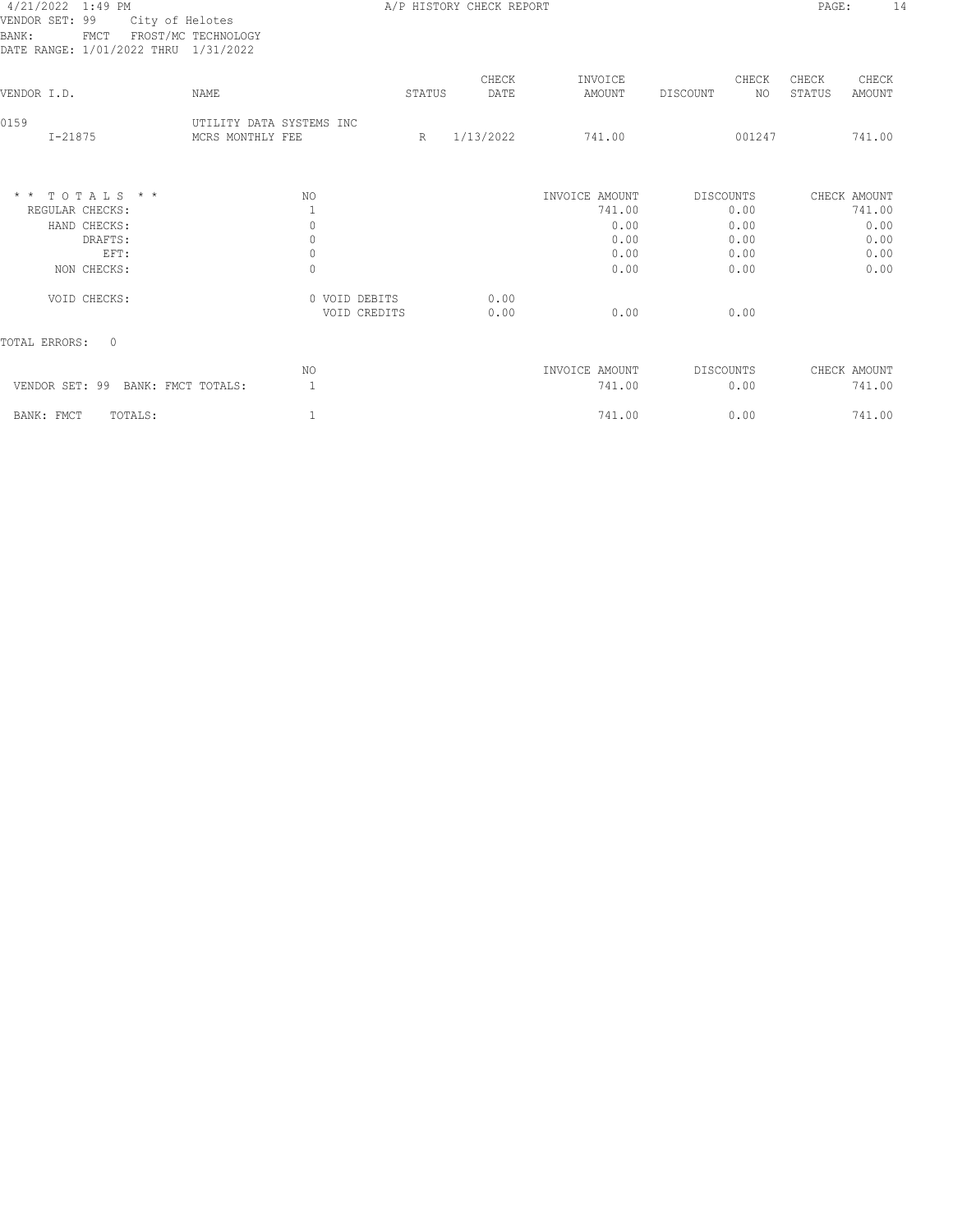## 4/21/2022 1:49 PM A/P HISTORY CHECK REPORT PAGE: 14 VENDOR SET: 99 City of Helotes BANK: FMCT FROST/MC TECHNOLOGY

| DATE RANGE: 1/01/2022 THRU 1/31/2022 |                                  |                                                           |               |                   |                          |                                           |
|--------------------------------------|----------------------------------|-----------------------------------------------------------|---------------|-------------------|--------------------------|-------------------------------------------|
| <b>NAME</b>                          |                                  |                                                           | CHECK<br>DATE | INVOICE<br>AMOUNT | CHECK<br>NO.<br>DISCOUNT | CHECK<br>CHECK<br>STATUS<br><b>AMOUNT</b> |
| MCRS MONTHLY FEE                     |                                  | R                                                         |               | 741.00            | 001247                   | 741.00                                    |
| NO                                   |                                  |                                                           |               | INVOICE AMOUNT    | DISCOUNTS                | CHECK AMOUNT<br>741.00                    |
|                                      |                                  |                                                           |               |                   |                          | 0.00                                      |
|                                      |                                  |                                                           |               |                   |                          | 0.00                                      |
| 0                                    |                                  |                                                           |               | 0.00              | 0.00                     | 0.00                                      |
| $\mathbf{0}$                         |                                  |                                                           |               | 0.00              | 0.00                     | 0.00                                      |
|                                      |                                  |                                                           | 0.00<br>0.00  | 0.00              | 0.00                     |                                           |
|                                      |                                  |                                                           |               |                   |                          |                                           |
| NO                                   |                                  |                                                           |               | INVOICE AMOUNT    | DISCOUNTS                | CHECK AMOUNT                              |
| 1<br>BANK: FMCT TOTALS:              |                                  |                                                           |               | 741.00            | 0.00                     | 741.00                                    |
| 1                                    |                                  |                                                           |               | 741.00            | 0.00                     | 741.00                                    |
|                                      | $\mathbf{1}$<br>0<br>$\mathbb O$ | UTILITY DATA SYSTEMS INC<br>0 VOID DEBITS<br>VOID CREDITS | STATUS        | 1/13/2022         | 741.00<br>0.00<br>0.00   | 0.00<br>0.00<br>0.00                      |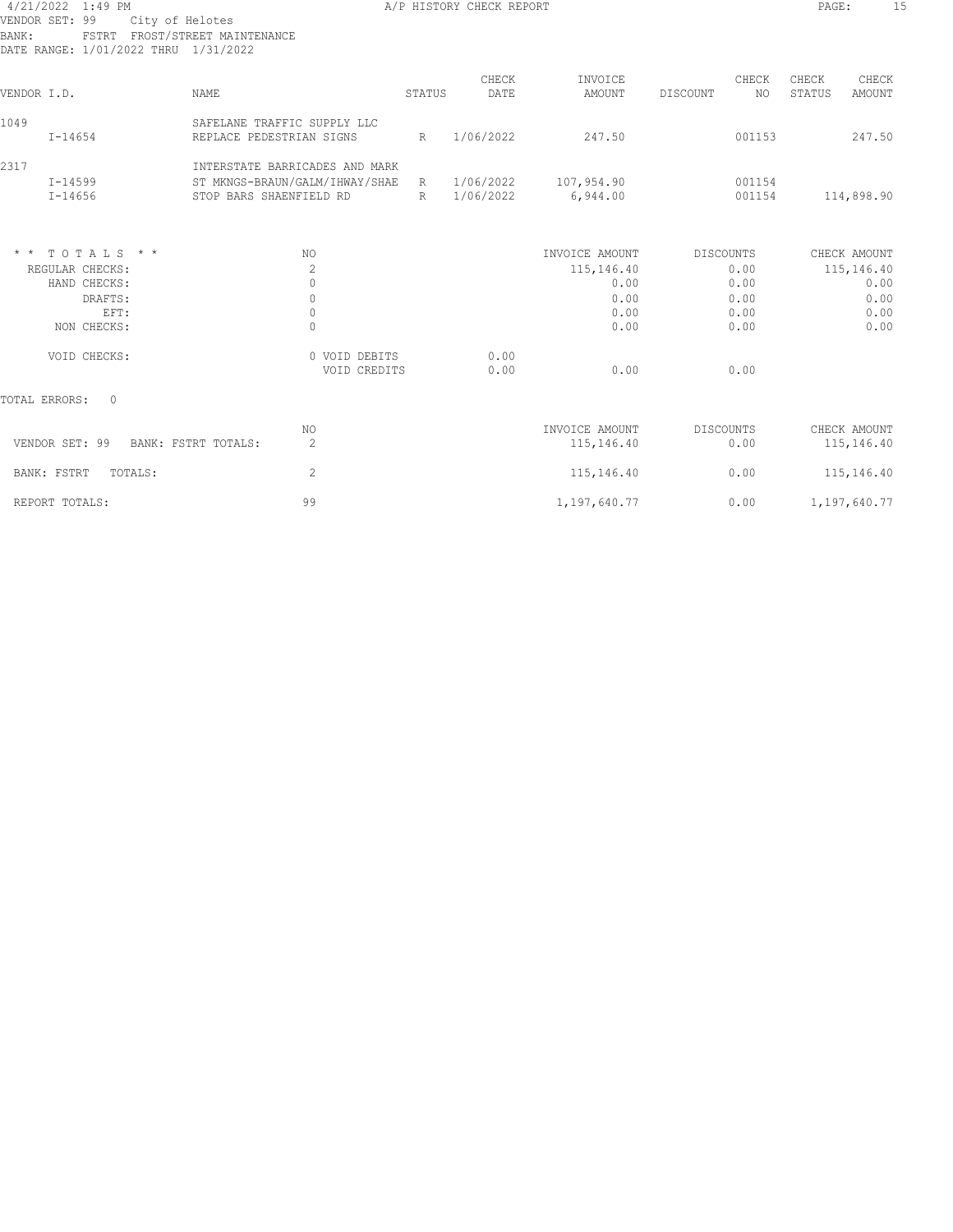### 4/21/2022 1:49 PM A/P HISTORY CHECK REPORT PAGE: 15 VENDOR SET: 99 City of Helotes BANK: FSTRT FROST/STREET MAINTENANCE

| BANK:<br>FSTRT FROST/STREET MAINTENANCE<br>DATE RANGE: 1/01/2022 THRU 1/31/2022 |                                                                                                                    |        |               |                              |                         |                                    |
|---------------------------------------------------------------------------------|--------------------------------------------------------------------------------------------------------------------|--------|---------------|------------------------------|-------------------------|------------------------------------|
| VENDOR I.D.                                                                     | NAME                                                                                                               | STATUS | CHECK<br>DATE | INVOICE<br>AMOUNT            | CHECK<br>DISCOUNT<br>NO | CHECK<br>CHECK<br>STATUS<br>AMOUNT |
| 1049<br>$I - 14654$                                                             | SAFELANE TRAFFIC SUPPLY LLC<br>REPLACE PEDESTRIAN SIGNS                                                            | R      | 1/06/2022     | 247.50                       | 001153                  | 247.50                             |
| 2317<br>$I - 14599$<br>$I - 14656$                                              | INTERSTATE BARRICADES AND MARK<br>ST MKNGS-BRAUN/GALM/IHWAY/SHAE R 1/06/2022 107,954.90<br>STOP BARS SHAENFIELD RD | R      | 1/06/2022     | 6,944.00                     | 001154<br>001154        | 114,898.90                         |
| $*$ * TOTALS * *<br>REGULAR CHECKS:                                             | NO.<br>$\overline{c}$                                                                                              |        |               | INVOICE AMOUNT<br>115,146.40 | DISCOUNTS<br>0.00       | CHECK AMOUNT<br>115,146.40         |
| HAND CHECKS:<br>DRAFTS:                                                         | $\Omega$<br>$\mathbf{0}$                                                                                           |        |               | 0.00<br>0.00                 | 0.00<br>0.00            | 0.00<br>0.00                       |
| EFT:<br>NON CHECKS:                                                             | $\mathbf{0}$<br>0                                                                                                  |        |               | 0.00<br>0.00                 | 0.00<br>0.00            | 0.00<br>0.00                       |
| VOID CHECKS:                                                                    | 0 VOID DEBITS<br>VOID CREDITS                                                                                      |        | 0.00<br>0.00  | 0.00                         | 0.00                    |                                    |
| TOTAL ERRORS:<br>$\Omega$                                                       |                                                                                                                    |        |               |                              |                         |                                    |
| VENDOR SET: 99 BANK: FSTRT TOTALS:                                              | NO.<br>$\overline{c}$                                                                                              |        |               | INVOICE AMOUNT<br>115,146.40 | DISCOUNTS<br>0.00       | CHECK AMOUNT<br>115,146.40         |
| BANK: FSTRT<br>TOTALS:                                                          | $\overline{c}$                                                                                                     |        |               | 115,146.40                   | 0.00                    | 115,146.40                         |
| REPORT TOTALS:                                                                  | 99                                                                                                                 |        |               | 1,197,640.77                 | 0.00                    | 1,197,640.77                       |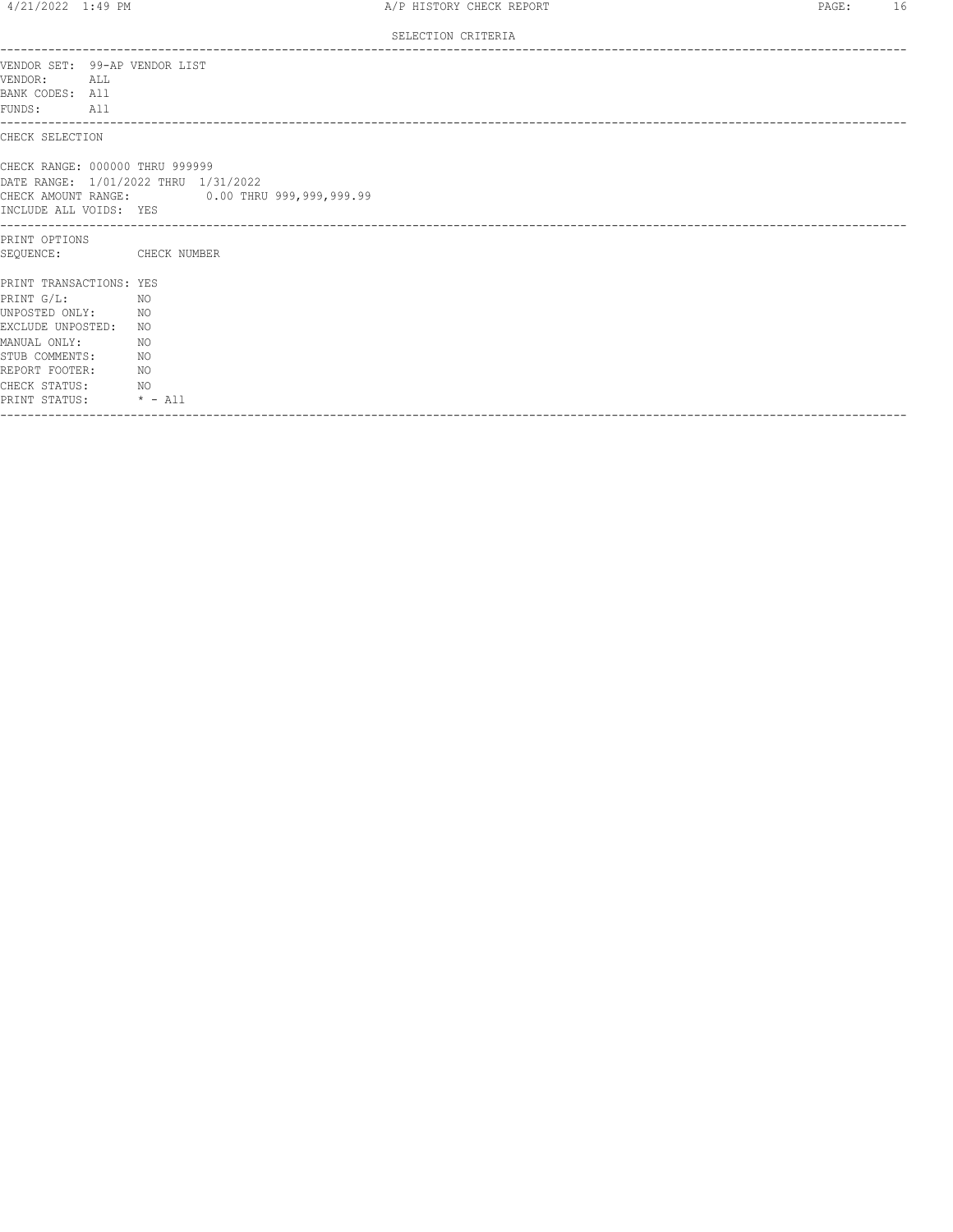|                                                                                                                                                                               | SELECTION CRITERIA                                                                                                      |
|-------------------------------------------------------------------------------------------------------------------------------------------------------------------------------|-------------------------------------------------------------------------------------------------------------------------|
| VENDOR:<br>ALL<br>BANK CODES: All<br>FUNDS:<br>All                                                                                                                            | VENDOR SET: 99-AP VENDOR LIST                                                                                           |
| CHECK SELECTION                                                                                                                                                               |                                                                                                                         |
| INCLUDE ALL VOIDS: YES                                                                                                                                                        | CHECK RANGE: 000000 THRU 999999<br>DATE RANGE: 1/01/2022 THRU 1/31/2022<br>CHECK AMOUNT RANGE: 0.00 THRU 999,999,999.99 |
| PRINT OPTIONS<br>SEQUENCE:                                                                                                                                                    | CHECK NUMBER                                                                                                            |
| PRINT TRANSACTIONS: YES<br>PRINT G/L:<br>UNPOSTED ONLY:<br>EXCLUDE UNPOSTED:<br>MANUAL ONLY:<br>STUB COMMENTS:<br>REPORT FOOTER:<br>CHECK STATUS: NO<br>PRINT STATUS: * - All | NO<br>NO <sub>N</sub><br>NO<br>NO<br>NO <sub>N</sub><br>NO <sub>N</sub>                                                 |
|                                                                                                                                                                               |                                                                                                                         |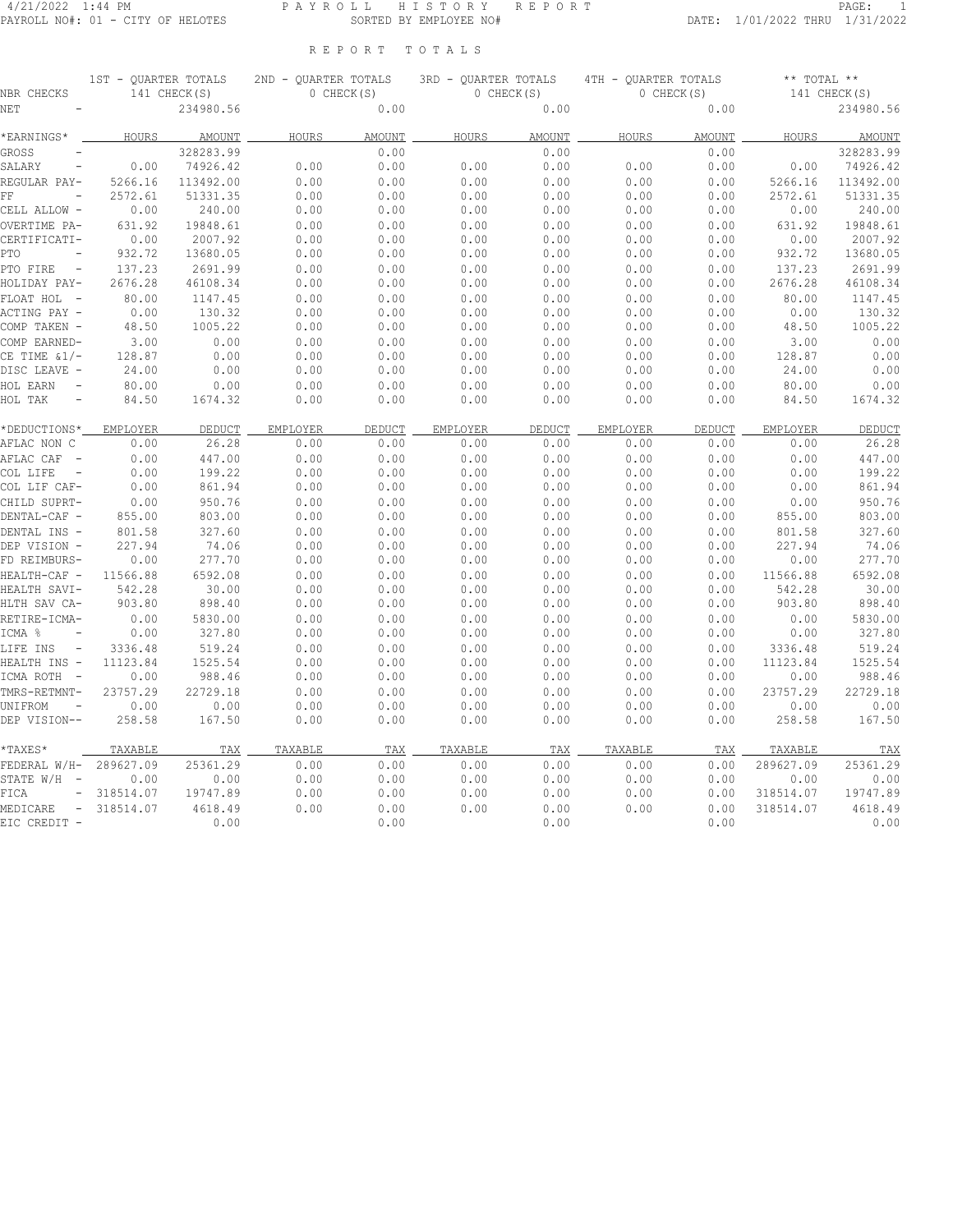### 4/21/2022 1:44 PM P A Y R O L L H I S T O R Y R E P O R T PAGE: 1 PAYROLL NO#: 01 - CITY OF HELOTES SORTED BY EMPLOYEE NO# DATE: 1/01/2022 THRU 1/31/2022

|  |  |  |  |  |  |  | REPORT TOTALS |  |  |  |  |  |  |  |
|--|--|--|--|--|--|--|---------------|--|--|--|--|--|--|--|
|--|--|--|--|--|--|--|---------------|--|--|--|--|--|--|--|

| NBR CHECKS                           | 1ST - QUARTER TOTALS | 141 CHECK(S) |              | 0 CHECK(S)    | 2ND - QUARTER TOTALS 3RD - QUARTER TOTALS 4TH - QUARTER TOTALS<br>0 CHECK(S) |        |                 | 0 CHECK(S)    | $***$ TOTAL $**$<br>141 CHECK(S) |              |  |  |
|--------------------------------------|----------------------|--------------|--------------|---------------|------------------------------------------------------------------------------|--------|-----------------|---------------|----------------------------------|--------------|--|--|
| NET                                  |                      | 234980.56    |              | 0.00          |                                                                              | 0.00   |                 | 0.00          |                                  | 234980.56    |  |  |
| *EARNINGS*                           |                      | HOURS AMOUNT | <b>HOURS</b> | <b>AMOUNT</b> | HOURS                                                                        | AMOUNT | <b>HOURS</b>    | <b>AMOUNT</b> |                                  | HOURS AMOUNT |  |  |
| <b>GROSS</b>                         |                      | 328283.99    |              | 0.00          |                                                                              | 0.00   |                 | 0.00          |                                  | 328283.99    |  |  |
| SALARY<br>$\overline{\phantom{a}}$   | 0.00                 | 74926.42     | 0.00         | 0.00          | 0.00                                                                         | 0.00   | 0.00            | 0.00          | 0.00                             | 74926.42     |  |  |
| REGULAR PAY-                         | 5266.16              | 113492.00    | 0.00         | 0.00          | 0.00                                                                         | 0.00   | 0.00            | 0.00          | 5266.16                          | 113492.00    |  |  |
| FF<br>$\overline{\phantom{a}}$       | 2572.61              | 51331.35     | 0.00         | 0.00          | 0.00                                                                         | 0.00   | 0.00            | 0.00          | 2572.61                          | 51331.35     |  |  |
| CELL ALLOW -                         | 0.00                 | 240.00       | 0.00         | 0.00          | 0.00                                                                         | 0.00   | 0.00            | 0.00          | 0.00                             | 240.00       |  |  |
| OVERTIME PA-                         | 631.92               | 19848.61     | 0.00         | 0.00          | 0.00                                                                         | 0.00   | 0.00            | 0.00          | 631.92                           | 19848.61     |  |  |
| CERTIFICATI-                         | 0.00                 | 2007.92      | 0.00         | 0.00          | 0.00                                                                         | 0.00   | 0.00            | 0.00          | 0.00                             | 2007.92      |  |  |
| PTO                                  | 932.72               | 13680.05     | 0.00         | 0.00          | 0.00                                                                         | 0.00   | 0.00            | 0.00          | 932.72                           | 13680.05     |  |  |
| PTO FIRE<br>$\sim$                   | 137.23               | 2691.99      | 0.00         | 0.00          | 0.00                                                                         | 0.00   | 0.00            | 0.00          | 137.23                           | 2691.99      |  |  |
| HOLIDAY PAY-                         | 2676.28              | 46108.34     | 0.00         | 0.00          | 0.00                                                                         | 0.00   | 0.00            | 0.00          | 2676.28                          | 46108.34     |  |  |
| FLOAT HOL -                          | 80.00                | 1147.45      | 0.00         | 0.00          | 0.00                                                                         | 0.00   | 0.00            | 0.00          | 80.00                            | 1147.45      |  |  |
| ACTING PAY -                         | 0.00                 | 130.32       | 0.00         | 0.00          | 0.00                                                                         | 0.00   | 0.00            | 0.00          | 0.00                             | 130.32       |  |  |
| COMP TAKEN -                         | 48.50                | 1005.22      | 0.00         | 0.00          | 0.00                                                                         | 0.00   | 0.00            | 0.00          | 48.50                            | 1005.22      |  |  |
| COMP EARNED-                         | 3.00                 | 0.00         | 0.00         | 0.00          | 0.00                                                                         | 0.00   | 0.00            | 0.00          | 3.00                             | 0.00         |  |  |
| CE TIME $\frac{1}{2}$                | 128.87               | 0.00         | 0.00         | 0.00          | 0.00                                                                         | 0.00   | 0.00            | 0.00          | 128.87                           | 0.00         |  |  |
| DISC LEAVE -                         | 24.00                | 0.00         | 0.00         | 0.00          | 0.00                                                                         | 0.00   | 0.00            | 0.00          | 24.00                            | 0.00         |  |  |
| HOL EARN<br>$\overline{\phantom{a}}$ | 80.00                | 0.00         | 0.00         | 0.00          | 0.00                                                                         | 0.00   | 0.00            | 0.00          | 80.00                            | 0.00         |  |  |
| HOL TAK<br>$\overline{\phantom{a}}$  | 84.50                | 1674.32      | 0.00         | 0.00          | 0.00                                                                         | 0.00   | 0.00            | 0.00          | 84.50                            | 1674.32      |  |  |
| *DEDUCTIONS*                         | EMPLOYER             | DEDUCT       | EMPLOYER     | DEDUCT        | EMPLOYER                                                                     | DEDUCT | <b>EMPLOYER</b> | DEDUCT        | EMPLOYER                         | DEDUCT       |  |  |
| AFLAC NON C                          | 0.00                 | 26.28        | 0.00         | 0.00          | 0.00                                                                         | 0.00   | 0.00            | 0.00          | 0.00                             | 26.28        |  |  |
| AFLAC CAF -                          | 0.00                 | 447.00       | 0.00         | 0.00          | 0.00                                                                         | 0.00   | 0.00            | 0.00          | 0.00                             | 447.00       |  |  |
| COL LIFE<br>$\sim$ $-$               | 0.00                 | 199.22       | 0.00         | 0.00          | 0.00                                                                         | 0.00   | 0.00            | 0.00          | 0.00                             | 199.22       |  |  |
| COL LIF CAF-                         | 0.00                 | 861.94       | 0.00         | 0.00          | 0.00                                                                         | 0.00   | 0.00            | 0.00          | 0.00                             | 861.94       |  |  |
| CHILD SUPRT-                         | 0.00                 | 950.76       | 0.00         | 0.00          | 0.00                                                                         | 0.00   | 0.00            | 0.00          | 0.00                             | 950.76       |  |  |
| DENTAL-CAF -                         | 855.00               | 803.00       | 0.00         | 0.00          | 0.00                                                                         | 0.00   | 0.00            | 0.00          | 855.00                           | 803.00       |  |  |
| DENTAL INS -                         | 801.58               | 327.60       | 0.00         | 0.00          | 0.00                                                                         | 0.00   | 0.00            | 0.00          | 801.58                           | 327.60       |  |  |
| DEP VISION -                         | 227.94               | 74.06        | 0.00         | 0.00          | 0.00                                                                         | 0.00   | 0.00            | 0.00          | 227.94                           | 74.06        |  |  |
| FD REIMBURS-                         | 0.00                 | 277.70       | 0.00         | 0.00          | 0.00                                                                         | 0.00   | 0.00            | 0.00          | 0.00                             | 277.70       |  |  |
| HEALTH-CAF -                         | 11566.88             | 6592.08      | 0.00         | 0.00          | 0.00                                                                         | 0.00   | 0.00            | 0.00          | 11566.88                         | 6592.08      |  |  |
| HEALTH SAVI-                         | 542.28               | 30.00        | 0.00         | 0.00          | 0.00                                                                         | 0.00   | 0.00            | 0.00          | 542.28                           | 30.00        |  |  |
| HLTH SAV CA-                         | 903.80               | 898.40       | 0.00         | 0.00          | 0.00                                                                         | 0.00   | 0.00            | 0.00          | 903.80                           | 898.40       |  |  |
| RETIRE-ICMA-                         | 0.00                 | 5830.00      | 0.00         | 0.00          | 0.00                                                                         | 0.00   | 0.00            | 0.00          | 0.00                             | 5830.00      |  |  |
| ICMA %                               | 0.00                 | 327.80       | 0.00         | 0.00          | 0.00                                                                         | 0.00   | 0.00            | 0.00          | 0.00                             | 327.80       |  |  |
| LIFE INS<br>$\sim$                   | 3336.48              | 519.24       | 0.00         | 0.00          | 0.00                                                                         | 0.00   | 0.00            | 0.00          | 3336.48                          | 519.24       |  |  |
| HEALTH INS -                         | 11123.84             | 1525.54      | 0.00         | 0.00          | 0.00                                                                         | 0.00   | 0.00            | 0.00          | 11123.84                         | 1525.54      |  |  |
| ICMA ROTH -                          | 0.00                 | 988.46       | 0.00         | 0.00          | 0.00                                                                         | 0.00   | 0.00            | 0.00          | 0.00                             | 988.46       |  |  |
| TMRS-RETMNT-                         | 23757.29             | 22729.18     | 0.00         | 0.00          | 0.00                                                                         | 0.00   | 0.00            | 0.00          | 23757.29                         | 22729.18     |  |  |
| UNIFROM<br>$\overline{\phantom{a}}$  | 0.00                 | 0.00         | 0.00         | 0.00          | 0.00                                                                         | 0.00   | 0.00            | 0.00          | 0.00                             | 0.00         |  |  |
| DEP VISION--                         | 258.58               | 167.50       | 0.00         | 0.00          | 0.00                                                                         | 0.00   | 0.00            | 0.00          | 258.58                           | 167.50       |  |  |
| *TAXES*                              | TAXABLE              | TAX          | TAXABLE      | TAX           | TAXABLE                                                                      | TAX    | TAXABLE         | TAX           | TAXABLE                          | TAX          |  |  |
| FEDERAL W/H-                         | 289627.09            | 25361.29     | 0.00         | 0.00          | 0.00                                                                         | 0.00   | 0.00            | 0.00          | 289627.09                        | 25361.29     |  |  |
| STATE $W/H$ -                        | 0.00                 | 0.00         | 0.00         | 0.00          | 0.00                                                                         | 0.00   | 0.00            | 0.00          | 0.00                             | 0.00         |  |  |
| FICA<br>$\overline{\phantom{a}}$     | 318514.07            | 19747.89     | 0.00         | 0.00          | 0.00                                                                         | 0.00   | 0.00            | 0.00          | 318514.07                        | 19747.89     |  |  |
| MEDICARE<br>$\sim$                   | 318514.07            | 4618.49      | 0.00         | 0.00          | 0.00                                                                         | 0.00   | 0.00            | 0.00          | 318514.07                        | 4618.49      |  |  |
| EIC CREDIT -                         |                      | 0.00         |              | 0.00          |                                                                              | 0.00   |                 | 0.00          |                                  | 0.00         |  |  |